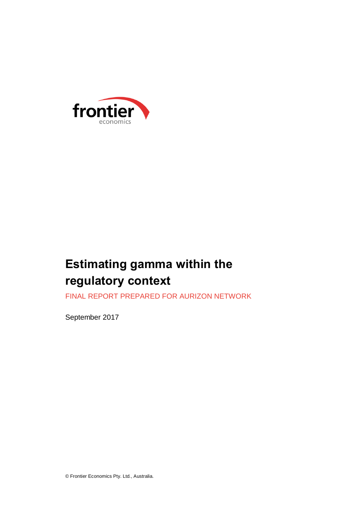

# **Estimating gamma within the regulatory context**

FINAL REPORT PREPARED FOR AURIZON NETWORK

September 2017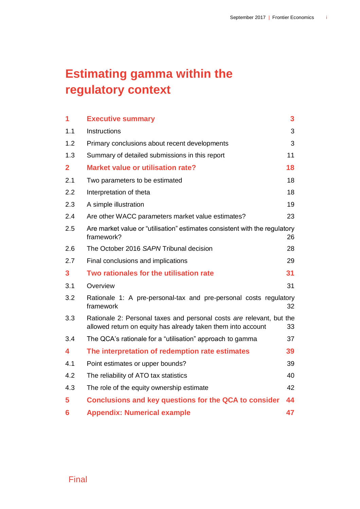# **Estimating gamma within the regulatory context**

| 1              | <b>Executive summary</b>                                                                                                             | 3  |
|----------------|--------------------------------------------------------------------------------------------------------------------------------------|----|
| 1.1            | <b>Instructions</b>                                                                                                                  | 3  |
| 1.2            | Primary conclusions about recent developments                                                                                        | 3  |
| 1.3            | Summary of detailed submissions in this report                                                                                       | 11 |
| $\overline{2}$ | <b>Market value or utilisation rate?</b>                                                                                             | 18 |
| 2.1            | Two parameters to be estimated                                                                                                       | 18 |
| 2.2            | Interpretation of theta                                                                                                              | 18 |
| 2.3            | A simple illustration                                                                                                                | 19 |
| 2.4            | Are other WACC parameters market value estimates?                                                                                    | 23 |
| 2.5            | Are market value or "utilisation" estimates consistent with the regulatory<br>framework?                                             | 26 |
| 2.6            | The October 2016 SAPN Tribunal decision                                                                                              | 28 |
| 2.7            | Final conclusions and implications                                                                                                   | 29 |
| $\mathbf{3}$   | Two rationales for the utilisation rate                                                                                              | 31 |
| 3.1            | Overview                                                                                                                             | 31 |
| 3.2            | Rationale 1: A pre-personal-tax and pre-personal costs regulatory<br>framework<br>32                                                 |    |
| 3.3            | Rationale 2: Personal taxes and personal costs are relevant, but the<br>allowed return on equity has already taken them into account | 33 |
| 3.4            | The QCA's rationale for a "utilisation" approach to gamma                                                                            | 37 |
| 4              | The interpretation of redemption rate estimates                                                                                      | 39 |
| 4.1            | Point estimates or upper bounds?                                                                                                     | 39 |
| 4.2            | The reliability of ATO tax statistics                                                                                                | 40 |
| 4.3            | The role of the equity ownership estimate                                                                                            | 42 |
| 5              | <b>Conclusions and key questions for the QCA to consider</b>                                                                         | 44 |
| 6              | <b>Appendix: Numerical example</b>                                                                                                   | 47 |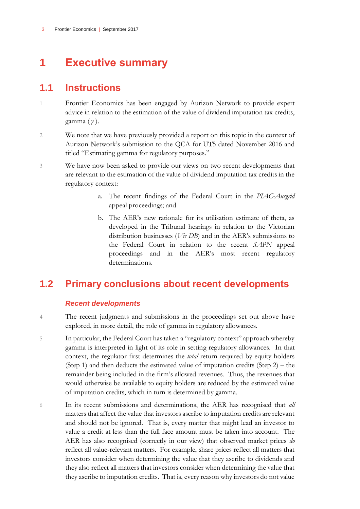# <span id="page-4-0"></span>**1 Executive summary**

### <span id="page-4-1"></span>**1.1 Instructions**

- 1 Frontier Economics has been engaged by Aurizon Network to provide expert advice in relation to the estimation of the value of dividend imputation tax credits, gamma ( ).
- 2 We note that we have previously provided a report on this topic in the context of Aurizon Network's submission to the QCA for UT5 dated November 2016 and titled "Estimating gamma for regulatory purposes."
- 3 We have now been asked to provide our views on two recent developments that are relevant to the estimation of the value of dividend imputation tax credits in the regulatory context:
	- a. The recent findings of the Federal Court in the *PIAC-Ausgrid* appeal proceedings; and
	- b. The AER's new rationale for its utilisation estimate of theta, as developed in the Tribunal hearings in relation to the Victorian distribution businesses (*Vic DB*) and in the AER's submissions to the Federal Court in relation to the recent *SAPN* appeal proceedings and in the AER's most recent regulatory determinations.

### <span id="page-4-2"></span>**1.2 Primary conclusions about recent developments**

#### *Recent developments*

- 4 The recent judgments and submissions in the proceedings set out above have explored, in more detail, the role of gamma in regulatory allowances.
- 5 In particular, the Federal Court has taken a "regulatory context" approach whereby gamma is interpreted in light of its role in setting regulatory allowances. In that context, the regulator first determines the *total* return required by equity holders (Step 1) and then deducts the estimated value of imputation credits (Step 2) – the remainder being included in the firm's allowed revenues. Thus, the revenues that would otherwise be available to equity holders are reduced by the estimated value of imputation credits, which in turn is determined by gamma.
- 6 In its recent submissions and determinations, the AER has recognised that *all* matters that affect the value that investors ascribe to imputation credits are relevant and should not be ignored. That is, every matter that might lead an investor to value a credit at less than the full face amount must be taken into account. The AER has also recognised (correctly in our view) that observed market prices *do* reflect all value-relevant matters. For example, share prices reflect all matters that investors consider when determining the value that they ascribe to dividends and they also reflect all matters that investors consider when determining the value that they ascribe to imputation credits. That is, every reason why investors do not value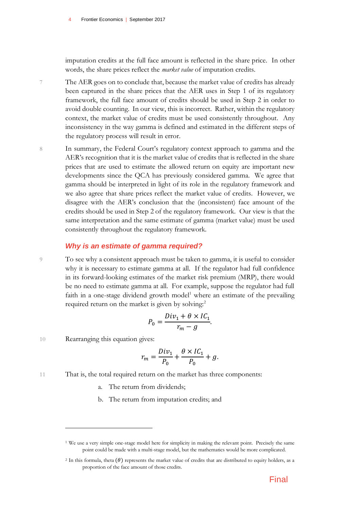imputation credits at the full face amount is reflected in the share price. In other words, the share prices reflect the *market value* of imputation credits.

- 7 The AER goes on to conclude that, because the market value of credits has already been captured in the share prices that the AER uses in Step 1 of its regulatory framework, the full face amount of credits should be used in Step 2 in order to avoid double counting. In our view, this is incorrect. Rather, within the regulatory context, the market value of credits must be used consistently throughout. Any inconsistency in the way gamma is defined and estimated in the different steps of the regulatory process will result in error.
- 8 In summary, the Federal Court's regulatory context approach to gamma and the AER's recognition that it is the market value of credits that is reflected in the share prices that are used to estimate the allowed return on equity are important new developments since the QCA has previously considered gamma. We agree that gamma should be interpreted in light of its role in the regulatory framework and we also agree that share prices reflect the market value of credits. However, we disagree with the AER's conclusion that the (inconsistent) face amount of the credits should be used in Step 2 of the regulatory framework. Our view is that the same interpretation and the same estimate of gamma (market value) must be used consistently throughout the regulatory framework.

#### *Why is an estimate of gamma required?*

9 To see why a consistent approach must be taken to gamma, it is useful to consider why it is necessary to estimate gamma at all. If the regulator had full confidence in its forward-looking estimates of the market risk premium (MRP), there would be no need to estimate gamma at all. For example, suppose the regulator had full faith in a one-stage dividend growth model<sup>1</sup> where an estimate of the prevailing required return on the market is given by solving.<sup>2</sup>

$$
P_0 = \frac{Div_1 + \theta \times IC_1}{r_m - g}.
$$

10 Rearranging this equation gives:

$$
r_m = \frac{Div_1}{P_0} + \frac{\theta \times IC_1}{P_0} + g.
$$

- 11 That is, the total required return on the market has three components:
	- a. The return from dividends;
	- b. The return from imputation credits; and

<sup>1</sup> We use a very simple one-stage model here for simplicity in making the relevant point. Precisely the same point could be made with a multi-stage model, but the mathematics would be more complicated.

<sup>&</sup>lt;sup>2</sup> In this formula, theta  $(\theta)$  represents the market value of credits that are distributed to equity holders, as a proportion of the face amount of those credits.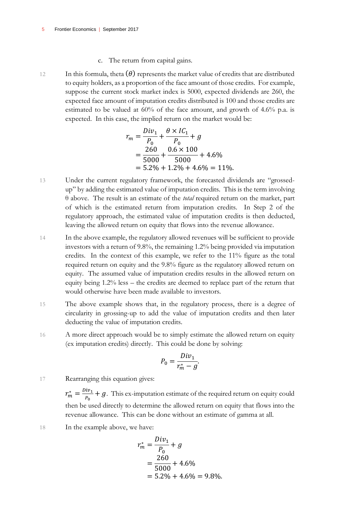- c. The return from capital gains.
- 12 In this formula, theta  $(\theta)$  represents the market value of credits that are distributed to equity holders, as a proportion of the face amount of those credits. For example, suppose the current stock market index is 5000, expected dividends are 260, the expected face amount of imputation credits distributed is 100 and those credits are estimated to be valued at 60% of the face amount, and growth of 4.6% p.a. is expected. In this case, the implied return on the market would be:

$$
r_m = \frac{Div_1}{P_0} + \frac{\theta \times IC_1}{P_0} + g
$$
  
=  $\frac{260}{5000} + \frac{0.6 \times 100}{5000} + 4.6\%$   
=  $5.2\% + 1.2\% + 4.6\% = 11\%$ .

- 13 Under the current regulatory framework, the forecasted dividends are "grossedup" by adding the estimated value of imputation credits. This is the term involving θ above. The result is an estimate of the *total* required return on the market, part of which is the estimated return from imputation credits. In Step 2 of the regulatory approach, the estimated value of imputation credits is then deducted, leaving the allowed return on equity that flows into the revenue allowance.
- 14 In the above example, the regulatory allowed revenues will be sufficient to provide investors with a return of 9.8%, the remaining 1.2% being provided via imputation credits. In the context of this example, we refer to the 11% figure as the total required return on equity and the 9.8% figure as the regulatory allowed return on equity. The assumed value of imputation credits results in the allowed return on equity being 1.2% less – the credits are deemed to replace part of the return that would otherwise have been made available to investors.
- 15 The above example shows that, in the regulatory process, there is a degree of circularity in grossing-up to add the value of imputation credits and then later deducting the value of imputation credits.
- 16 A more direct approach would be to simply estimate the allowed return on equity (ex imputation credits) directly. This could be done by solving:

$$
P_0 = \frac{Div_1}{r_m^* - g}.
$$

17 Rearranging this equation gives:

 $r_m^* = \frac{Div_1}{P}$  $\frac{dv_1}{v_0}$  + g. This ex-imputation estimate of the required return on equity could then be used directly to determine the allowed return on equity that flows into the revenue allowance. This can be done without an estimate of gamma at all.

18 In the example above, we have:

$$
r_m^* = \frac{Div_1}{P_0} + g
$$
  
=  $\frac{260}{5000} + 4.6\%$   
=  $5.2\% + 4.6\% = 9.8\%$ .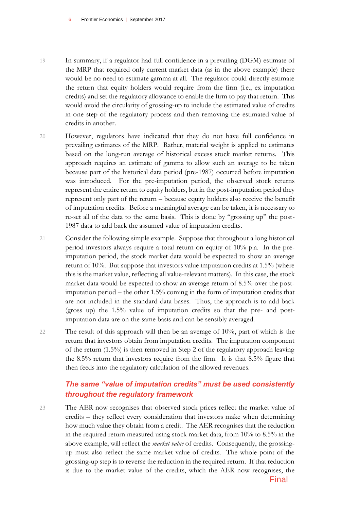- 19 In summary, if a regulator had full confidence in a prevailing (DGM) estimate of the MRP that required only current market data (as in the above example) there would be no need to estimate gamma at all. The regulator could directly estimate the return that equity holders would require from the firm (i.e., ex imputation credits) and set the regulatory allowance to enable the firm to pay that return. This would avoid the circularity of grossing-up to include the estimated value of credits in one step of the regulatory process and then removing the estimated value of credits in another.
- 20 However, regulators have indicated that they do not have full confidence in prevailing estimates of the MRP. Rather, material weight is applied to estimates based on the long-run average of historical excess stock market returns. This approach requires an estimate of gamma to allow such an average to be taken because part of the historical data period (pre-1987) occurred before imputation was introduced. For the pre-imputation period, the observed stock returns represent the entire return to equity holders, but in the post-imputation period they represent only part of the return – because equity holders also receive the benefit of imputation credits. Before a meaningful average can be taken, it is necessary to re-set all of the data to the same basis. This is done by "grossing up" the post-1987 data to add back the assumed value of imputation credits.
- 21 Consider the following simple example. Suppose that throughout a long historical period investors always require a total return on equity of 10% p.a. In the preimputation period, the stock market data would be expected to show an average return of 10%. But suppose that investors value imputation credits at 1.5% (where this is the market value, reflecting all value-relevant matters). In this case, the stock market data would be expected to show an average return of 8.5% over the postimputation period – the other 1.5% coming in the form of imputation credits that are not included in the standard data bases. Thus, the approach is to add back (gross up) the 1.5% value of imputation credits so that the pre- and postimputation data are on the same basis and can be sensibly averaged.
- 22 The result of this approach will then be an average of 10%, part of which is the return that investors obtain from imputation credits. The imputation component of the return (1.5%) is then removed in Step 2 of the regulatory approach leaving the 8.5% return that investors require from the firm. It is that 8.5% figure that then feeds into the regulatory calculation of the allowed revenues.

#### *The same "value of imputation credits" must be used consistently throughout the regulatory framework*

23 The AER now recognises that observed stock prices reflect the market value of credits – they reflect every consideration that investors make when determining how much value they obtain from a credit. The AER recognises that the reduction in the required return measured using stock market data, from 10% to 8.5% in the above example, will reflect the *market value* of credits. Consequently, the grossingup must also reflect the same market value of credits. The whole point of the grossing-up step is to reverse the reduction in the required return. If that reduction is due to the market value of the credits, which the AER now recognises, the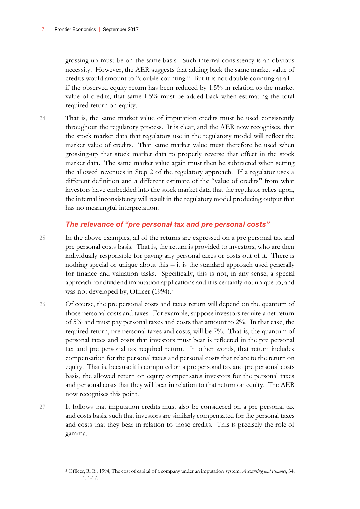grossing-up must be on the same basis. Such internal consistency is an obvious necessity. However, the AER suggests that adding back the same market value of credits would amount to "double-counting." But it is not double counting at all – if the observed equity return has been reduced by 1.5% in relation to the market value of credits, that same 1.5% must be added back when estimating the total required return on equity.

24 That is, the same market value of imputation credits must be used consistently throughout the regulatory process. It is clear, and the AER now recognises, that the stock market data that regulators use in the regulatory model will reflect the market value of credits. That same market value must therefore be used when grossing-up that stock market data to properly reverse that effect in the stock market data. The same market value again must then be subtracted when setting the allowed revenues in Step 2 of the regulatory approach. If a regulator uses a different definition and a different estimate of the "value of credits" from what investors have embedded into the stock market data that the regulator relies upon, the internal inconsistency will result in the regulatory model producing output that has no meaningful interpretation.

#### *The relevance of "pre personal tax and pre personal costs"*

- 25 In the above examples, all of the returns are expressed on a pre personal tax and pre personal costs basis. That is, the return is provided to investors, who are then individually responsible for paying any personal taxes or costs out of it. There is nothing special or unique about this – it is the standard approach used generally for finance and valuation tasks. Specifically, this is not, in any sense, a special approach for dividend imputation applications and it is certainly not unique to, and was not developed by, Officer (1994).<sup>3</sup>
- 26 Of course, the pre personal costs and taxes return will depend on the quantum of those personal costs and taxes. For example, suppose investors require a net return of 5% and must pay personal taxes and costs that amount to 2%. In that case, the required return, pre personal taxes and costs, will be 7%. That is, the quantum of personal taxes and costs that investors must bear is reflected in the pre personal tax and pre personal tax required return. In other words, that return includes compensation for the personal taxes and personal costs that relate to the return on equity. That is, because it is computed on a pre personal tax and pre personal costs basis, the allowed return on equity compensates investors for the personal taxes and personal costs that they will bear in relation to that return on equity. The AER now recognises this point.
- 27 It follows that imputation credits must also be considered on a pre personal tax and costs basis, such that investors are similarly compensated for the personal taxes and costs that they bear in relation to those credits. This is precisely the role of gamma.

<sup>3</sup> Officer, R. R., 1994, The cost of capital of a company under an imputation system, *Accounting and Finance*, 34, 1, 1-17.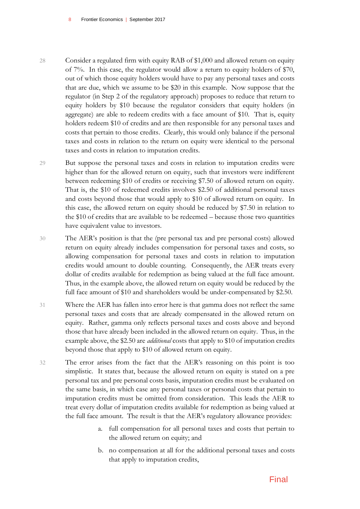8 Frontier Economics | September 2017

- 28 Consider a regulated firm with equity RAB of \$1,000 and allowed return on equity of 7%. In this case, the regulator would allow a return to equity holders of \$70, out of which those equity holders would have to pay any personal taxes and costs that are due, which we assume to be \$20 in this example. Now suppose that the regulator (in Step 2 of the regulatory approach) proposes to reduce that return to equity holders by \$10 because the regulator considers that equity holders (in aggregate) are able to redeem credits with a face amount of \$10. That is, equity holders redeem \$10 of credits and are then responsible for any personal taxes and costs that pertain to those credits. Clearly, this would only balance if the personal taxes and costs in relation to the return on equity were identical to the personal taxes and costs in relation to imputation credits.
- 29 But suppose the personal taxes and costs in relation to imputation credits were higher than for the allowed return on equity, such that investors were indifferent between redeeming \$10 of credits or receiving \$7.50 of allowed return on equity. That is, the \$10 of redeemed credits involves \$2.50 of additional personal taxes and costs beyond those that would apply to \$10 of allowed return on equity. In this case, the allowed return on equity should be reduced by \$7.50 in relation to the \$10 of credits that are available to be redeemed – because those two quantities have equivalent value to investors.
- 30 The AER's position is that the (pre personal tax and pre personal costs) allowed return on equity already includes compensation for personal taxes and costs, so allowing compensation for personal taxes and costs in relation to imputation credits would amount to double counting. Consequently, the AER treats every dollar of credits available for redemption as being valued at the full face amount. Thus, in the example above, the allowed return on equity would be reduced by the full face amount of \$10 and shareholders would be under-compensated by \$2.50.
- 31 Where the AER has fallen into error here is that gamma does not reflect the same personal taxes and costs that are already compensated in the allowed return on equity. Rather, gamma only reflects personal taxes and costs above and beyond those that have already been included in the allowed return on equity. Thus, in the example above, the \$2.50 are *additional* costs that apply to \$10 of imputation credits beyond those that apply to \$10 of allowed return on equity.
- 32 The error arises from the fact that the AER's reasoning on this point is too simplistic. It states that, because the allowed return on equity is stated on a pre personal tax and pre personal costs basis, imputation credits must be evaluated on the same basis, in which case any personal taxes or personal costs that pertain to imputation credits must be omitted from consideration. This leads the AER to treat every dollar of imputation credits available for redemption as being valued at the full face amount. The result is that the AER's regulatory allowance provides:
	- a. full compensation for all personal taxes and costs that pertain to the allowed return on equity; and
	- b. no compensation at all for the additional personal taxes and costs that apply to imputation credits,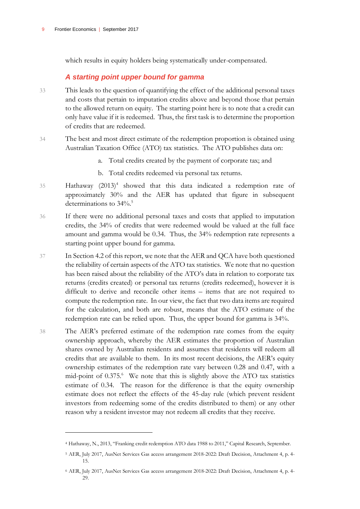which results in equity holders being systematically under-compensated.

#### *A starting point upper bound for gamma*

- 33 This leads to the question of quantifying the effect of the additional personal taxes and costs that pertain to imputation credits above and beyond those that pertain to the allowed return on equity. The starting point here is to note that a credit can only have value if it is redeemed. Thus, the first task is to determine the proportion of credits that are redeemed.
- 34 The best and most direct estimate of the redemption proportion is obtained using Australian Taxation Office (ATO) tax statistics. The ATO publishes data on:
	- a. Total credits created by the payment of corporate tax; and
	- b. Total credits redeemed via personal tax returns.
- 35 Hathaway (2013)<sup>4</sup> showed that this data indicated a redemption rate of approximately 30% and the AER has updated that figure in subsequent determinations to 34%. 5
- 36 If there were no additional personal taxes and costs that applied to imputation credits, the 34% of credits that were redeemed would be valued at the full face amount and gamma would be 0.34. Thus, the 34% redemption rate represents a starting point upper bound for gamma.
- 37 In Section 4.2 of this report, we note that the AER and QCA have both questioned the reliability of certain aspects of the ATO tax statistics. We note that no question has been raised about the reliability of the ATO's data in relation to corporate tax returns (credits created) or personal tax returns (credits redeemed), however it is difficult to derive and reconcile other items – items that are not required to compute the redemption rate. In our view, the fact that two data items are required for the calculation, and both are robust, means that the ATO estimate of the redemption rate can be relied upon. Thus, the upper bound for gamma is 34%.
- 38 The AER's preferred estimate of the redemption rate comes from the equity ownership approach, whereby the AER estimates the proportion of Australian shares owned by Australian residents and assumes that residents will redeem all credits that are available to them. In its most recent decisions, the AER's equity ownership estimates of the redemption rate vary between 0.28 and 0.47, with a mid-point of 0.375.<sup>6</sup> We note that this is slightly above the ATO tax statistics estimate of 0.34. The reason for the difference is that the equity ownership estimate does not reflect the effects of the 45-day rule (which prevent resident investors from redeeming some of the credits distributed to them) or any other reason why a resident investor may not redeem all credits that they receive.

<sup>4</sup> Hathaway, N., 2013, "Franking credit redemption ATO data 1988 to 2011," Capital Research, September.

<sup>5</sup> AER, July 2017, AusNet Services Gas access arrangement 2018-2022: Draft Decision, Attachment 4, p. 4- 15.

<sup>6</sup> AER, July 2017, AusNet Services Gas access arrangement 2018-2022: Draft Decision, Attachment 4, p. 4- 29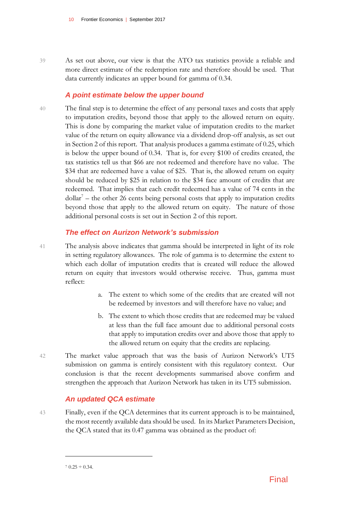39 As set out above, our view is that the ATO tax statistics provide a reliable and more direct estimate of the redemption rate and therefore should be used. That data currently indicates an upper bound for gamma of 0.34.

#### *A point estimate below the upper bound*

40 The final step is to determine the effect of any personal taxes and costs that apply to imputation credits, beyond those that apply to the allowed return on equity. This is done by comparing the market value of imputation credits to the market value of the return on equity allowance via a dividend drop-off analysis, as set out in Section 2 of this report. That analysis produces a gamma estimate of 0.25, which is below the upper bound of 0.34. That is, for every \$100 of credits created, the tax statistics tell us that \$66 are not redeemed and therefore have no value. The \$34 that are redeemed have a value of \$25. That is, the allowed return on equity should be reduced by \$25 in relation to the \$34 face amount of credits that are redeemed. That implies that each credit redeemed has a value of 74 cents in the  $dollar<sup>7</sup>$  – the other 26 cents being personal costs that apply to imputation credits beyond those that apply to the allowed return on equity. The nature of those additional personal costs is set out in Section 2 of this report.

#### *The effect on Aurizon Network's submission*

- 41 The analysis above indicates that gamma should be interpreted in light of its role in setting regulatory allowances. The role of gamma is to determine the extent to which each dollar of imputation credits that is created will reduce the allowed return on equity that investors would otherwise receive. Thus, gamma must reflect:
	- a. The extent to which some of the credits that are created will not be redeemed by investors and will therefore have no value; and
	- b. The extent to which those credits that are redeemed may be valued at less than the full face amount due to additional personal costs that apply to imputation credits over and above those that apply to the allowed return on equity that the credits are replacing.
- 42 The market value approach that was the basis of Aurizon Network's UT5 submission on gamma is entirely consistent with this regulatory context. Our conclusion is that the recent developments summarised above confirm and strengthen the approach that Aurizon Network has taken in its UT5 submission.

#### *An updated QCA estimate*

43 Finally, even if the QCA determines that its current approach is to be maintained, the most recently available data should be used. In its Market Parameters Decision, the QCA stated that its 0.47 gamma was obtained as the product of:

 $70.25 \div 0.34$ .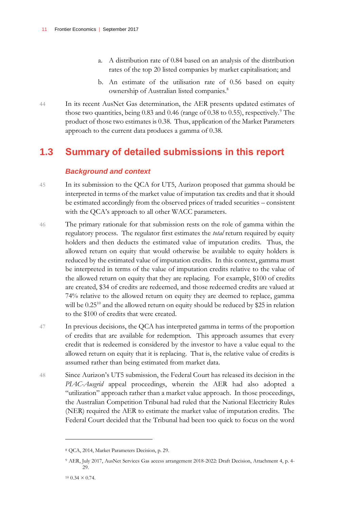- a. A distribution rate of 0.84 based on an analysis of the distribution rates of the top 20 listed companies by market capitalisation; and
- b. An estimate of the utilisation rate of 0.56 based on equity ownership of Australian listed companies.<sup>8</sup>
- 44 In its recent AusNet Gas determination, the AER presents updated estimates of those two quantities, being  $0.83$  and  $0.46$  (range of  $0.38$  to  $0.55$ ), respectively.<sup>9</sup> The product of those two estimates is 0.38. Thus, application of the Market Parameters approach to the current data produces a gamma of 0.38.

### <span id="page-12-0"></span>**1.3 Summary of detailed submissions in this report**

#### *Background and context*

- 45 In its submission to the QCA for UT5, Aurizon proposed that gamma should be interpreted in terms of the market value of imputation tax credits and that it should be estimated accordingly from the observed prices of traded securities – consistent with the QCA's approach to all other WACC parameters.
- 46 The primary rationale for that submission rests on the role of gamma within the regulatory process. The regulator first estimates the *total* return required by equity holders and then deducts the estimated value of imputation credits. Thus, the allowed return on equity that would otherwise be available to equity holders is reduced by the estimated value of imputation credits. In this context, gamma must be interpreted in terms of the value of imputation credits relative to the value of the allowed return on equity that they are replacing. For example, \$100 of credits are created, \$34 of credits are redeemed, and those redeemed credits are valued at 74% relative to the allowed return on equity they are deemed to replace, gamma will be  $0.25^{10}$  and the allowed return on equity should be reduced by \$25 in relation to the \$100 of credits that were created.
- 47 In previous decisions, the QCA has interpreted gamma in terms of the proportion of credits that are available for redemption. This approach assumes that every credit that is redeemed is considered by the investor to have a value equal to the allowed return on equity that it is replacing. That is, the relative value of credits is assumed rather than being estimated from market data.
- 48 Since Aurizon's UT5 submission, the Federal Court has released its decision in the *PIAC-Ausgrid* appeal proceedings, wherein the AER had also adopted a "utilization" approach rather than a market value approach. In those proceedings, the Australian Competition Tribunal had ruled that the National Electricity Rules (NER) required the AER to estimate the market value of imputation credits. The Federal Court decided that the Tribunal had been too quick to focus on the word

<sup>8</sup> QCA, 2014, Market Parameters Decision, p. 29.

<sup>9</sup> AER, July 2017, AusNet Services Gas access arrangement 2018-2022: Draft Decision, Attachment 4, p. 4- 29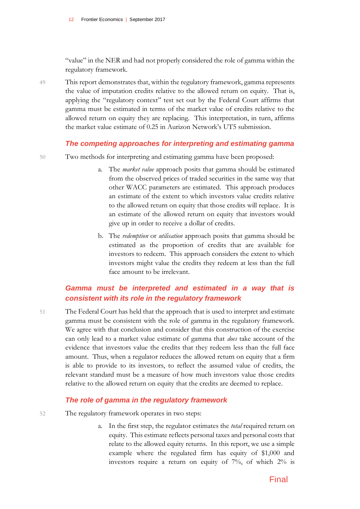"value" in the NER and had not properly considered the role of gamma within the regulatory framework.

49 This report demonstrates that, within the regulatory framework, gamma represents the value of imputation credits relative to the allowed return on equity. That is, applying the "regulatory context" test set out by the Federal Court affirms that gamma must be estimated in terms of the market value of credits relative to the allowed return on equity they are replacing. This interpretation, in turn, affirms the market value estimate of 0.25 in Aurizon Network's UT5 submission.

#### *The competing approaches for interpreting and estimating gamma*

- 50 Two methods for interpreting and estimating gamma have been proposed:
	- a. The *market value* approach posits that gamma should be estimated from the observed prices of traded securities in the same way that other WACC parameters are estimated. This approach produces an estimate of the extent to which investors value credits relative to the allowed return on equity that those credits will replace. It is an estimate of the allowed return on equity that investors would give up in order to receive a dollar of credits.
	- b. The *redemption* or *utilisation* approach posits that gamma should be estimated as the proportion of credits that are available for investors to redeem. This approach considers the extent to which investors might value the credits they redeem at less than the full face amount to be irrelevant.

#### *Gamma must be interpreted and estimated in a way that is consistent with its role in the regulatory framework*

51 The Federal Court has held that the approach that is used to interpret and estimate gamma must be consistent with the role of gamma in the regulatory framework. We agree with that conclusion and consider that this construction of the exercise can only lead to a market value estimate of gamma that *does* take account of the evidence that investors value the credits that they redeem less than the full face amount. Thus, when a regulator reduces the allowed return on equity that a firm is able to provide to its investors, to reflect the assumed value of credits, the relevant standard must be a measure of how much investors value those credits relative to the allowed return on equity that the credits are deemed to replace.

#### *The role of gamma in the regulatory framework*

- 52 The regulatory framework operates in two steps:
	- a. In the first step, the regulator estimates the *total* required return on equity. This estimate reflects personal taxes and personal costs that relate to the allowed equity returns. In this report, we use a simple example where the regulated firm has equity of \$1,000 and investors require a return on equity of 7%, of which 2% is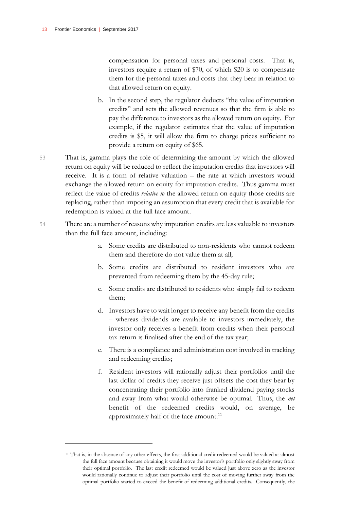$\overline{a}$ 

compensation for personal taxes and personal costs. That is, investors require a return of \$70, of which \$20 is to compensate them for the personal taxes and costs that they bear in relation to that allowed return on equity.

- b. In the second step, the regulator deducts "the value of imputation credits" and sets the allowed revenues so that the firm is able to pay the difference to investors as the allowed return on equity. For example, if the regulator estimates that the value of imputation credits is \$5, it will allow the firm to charge prices sufficient to provide a return on equity of \$65.
- 53 That is, gamma plays the role of determining the amount by which the allowed return on equity will be reduced to reflect the imputation credits that investors will receive. It is a form of relative valuation – the rate at which investors would exchange the allowed return on equity for imputation credits. Thus gamma must reflect the value of credits *relative to* the allowed return on equity those credits are replacing, rather than imposing an assumption that every credit that is available for redemption is valued at the full face amount.
- 54 There are a number of reasons why imputation credits are less valuable to investors than the full face amount, including:
	- a. Some credits are distributed to non-residents who cannot redeem them and therefore do not value them at all;
	- b. Some credits are distributed to resident investors who are prevented from redeeming them by the 45-day rule;
	- c. Some credits are distributed to residents who simply fail to redeem them;
	- d. Investors have to wait longer to receive any benefit from the credits – whereas dividends are available to investors immediately, the investor only receives a benefit from credits when their personal tax return is finalised after the end of the tax year;
	- e. There is a compliance and administration cost involved in tracking and redeeming credits;
	- f. Resident investors will rationally adjust their portfolios until the last dollar of credits they receive just offsets the cost they bear by concentrating their portfolio into franked dividend paying stocks and away from what would otherwise be optimal. Thus, the *net* benefit of the redeemed credits would, on average, be approximately half of the face amount.<sup>11</sup>

<sup>&</sup>lt;sup>11</sup> That is, in the absence of any other effects, the first additional credit redeemed would be valued at almost the full face amount because obtaining it would move the investor's portfolio only slightly away from their optimal portfolio. The last credit redeemed would be valued just above zero as the investor would rationally continue to adjust their portfolio until the cost of moving further away from the optimal portfolio started to exceed the benefit of redeeming additional credits. Consequently, the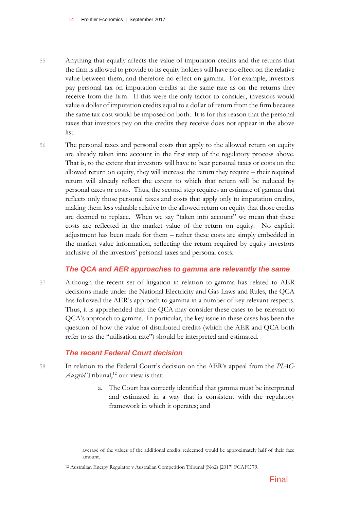- 55 Anything that equally affects the value of imputation credits and the returns that the firm is allowed to provide to its equity holders will have no effect on the relative value between them, and therefore no effect on gamma. For example, investors pay personal tax on imputation credits at the same rate as on the returns they receive from the firm. If this were the only factor to consider, investors would value a dollar of imputation credits equal to a dollar of return from the firm because the same tax cost would be imposed on both. It is for this reason that the personal taxes that investors pay on the credits they receive does not appear in the above list.
- 56 The personal taxes and personal costs that apply to the allowed return on equity are already taken into account in the first step of the regulatory process above. That is, to the extent that investors will have to bear personal taxes or costs on the allowed return on equity, they will increase the return they require – their required return will already reflect the extent to which that return will be reduced by personal taxes or costs. Thus, the second step requires an estimate of gamma that reflects only those personal taxes and costs that apply only to imputation credits, making them less valuable relative to the allowed return on equity that those credits are deemed to replace. When we say "taken into account" we mean that these costs are reflected in the market value of the return on equity. No explicit adjustment has been made for them – rather these costs are simply embedded in the market value information, reflecting the return required by equity investors inclusive of the investors' personal taxes and personal costs.

#### *The QCA and AER approaches to gamma are relevantly the same*

57 Although the recent set of litigation in relation to gamma has related to AER decisions made under the National Electricity and Gas Laws and Rules, the QCA has followed the AER's approach to gamma in a number of key relevant respects. Thus, it is apprehended that the QCA may consider these cases to be relevant to QCA's approach to gamma. In particular, the key issue in these cases has been the question of how the value of distributed credits (which the AER and QCA both refer to as the "utilisation rate") should be interpreted and estimated.

#### *The recent Federal Court decision*

- 58 In relation to the Federal Court's decision on the AER's appeal from the *PIAC-Ausgrid* Tribunal,<sup>12</sup> our view is that:
	- a. The Court has correctly identified that gamma must be interpreted and estimated in a way that is consistent with the regulatory framework in which it operates; and

average of the values of the additional credits redeemed would be approximately half of their face amount.

<sup>12</sup> Australian Energy Regulator v Australian Competition Tribunal (No2) [2017] FCAFC 79.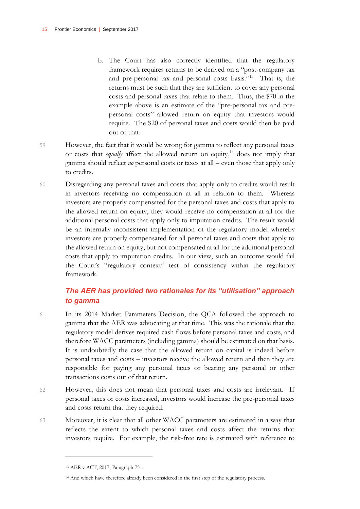- b. The Court has also correctly identified that the regulatory framework requires returns to be derived on a "post-company tax and pre-personal tax and personal costs basis."<sup>13</sup> That is, the returns must be such that they are sufficient to cover any personal costs and personal taxes that relate to them. Thus, the \$70 in the example above is an estimate of the "pre-personal tax and prepersonal costs" allowed return on equity that investors would require. The \$20 of personal taxes and costs would then be paid out of that.
- 59 However, the fact that it would be wrong for gamma to reflect any personal taxes or costs that *equally* affect the allowed return on equity, <sup>14</sup> does not imply that gamma should reflect *no* personal costs or taxes at all – even those that apply only to credits.
- 60 Disregarding any personal taxes and costs that apply only to credits would result in investors receiving no compensation at all in relation to them. Whereas investors are properly compensated for the personal taxes and costs that apply to the allowed return on equity, they would receive no compensation at all for the additional personal costs that apply only to imputation credits. The result would be an internally inconsistent implementation of the regulatory model whereby investors are properly compensated for all personal taxes and costs that apply to the allowed return on equity, but not compensated at all for the additional personal costs that apply to imputation credits. In our view, such an outcome would fail the Court's "regulatory context" test of consistency within the regulatory framework.

#### *The AER has provided two rationales for its "utilisation" approach to gamma*

- 61 In its 2014 Market Parameters Decision, the QCA followed the approach to gamma that the AER was advocating at that time. This was the rationale that the regulatory model derives required cash flows before personal taxes and costs, and therefore WACC parameters (including gamma) should be estimated on that basis. It is undoubtedly the case that the allowed return on capital is indeed before personal taxes and costs – investors receive the allowed return and then they are responsible for paying any personal taxes or bearing any personal or other transactions costs out of that return.
- 62 However, this does not mean that personal taxes and costs are irrelevant. If personal taxes or costs increased, investors would increase the pre-personal taxes and costs return that they required.
- 63 Moreover, it is clear that all other WACC parameters are estimated in a way that reflects the extent to which personal taxes and costs affect the returns that investors require. For example, the risk-free rate is estimated with reference to

<sup>13</sup> AER v ACT, 2017, Paragraph 751.

<sup>14</sup> And which have therefore already been considered in the first step of the regulatory process.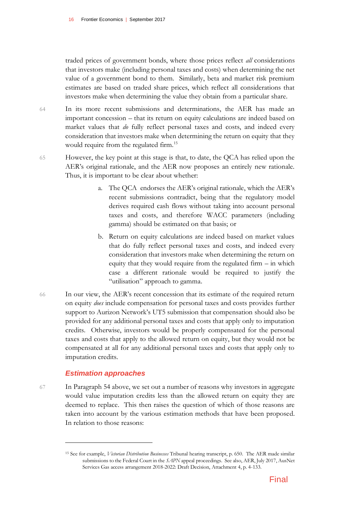traded prices of government bonds, where those prices reflect *all* considerations that investors make (including personal taxes and costs) when determining the net value of a government bond to them. Similarly, beta and market risk premium estimates are based on traded share prices, which reflect all considerations that investors make when determining the value they obtain from a particular share.

- 64 In its more recent submissions and determinations, the AER has made an important concession – that its return on equity calculations are indeed based on market values that *do* fully reflect personal taxes and costs, and indeed every consideration that investors make when determining the return on equity that they would require from the regulated firm.<sup>15</sup>
- 65 However, the key point at this stage is that, to date, the QCA has relied upon the AER's original rationale, and the AER now proposes an entirely new rationale. Thus, it is important to be clear about whether:
	- a. The QCA endorses the AER's original rationale, which the AER's recent submissions contradict, being that the regulatory model derives required cash flows without taking into account personal taxes and costs, and therefore WACC parameters (including gamma) should be estimated on that basis; or
	- b. Return on equity calculations are indeed based on market values that do fully reflect personal taxes and costs, and indeed every consideration that investors make when determining the return on equity that they would require from the regulated firm – in which case a different rationale would be required to justify the "utilisation" approach to gamma.
- 66 In our view, the AER's recent concession that its estimate of the required return on equity *does* include compensation for personal taxes and costs provides further support to Aurizon Network's UT5 submission that compensation should also be provided for any additional personal taxes and costs that apply only to imputation credits. Otherwise, investors would be properly compensated for the personal taxes and costs that apply to the allowed return on equity, but they would not be compensated at all for any additional personal taxes and costs that apply only to imputation credits.

#### *Estimation approaches*

 $\overline{a}$ 

67 In Paragraph 54 above, we set out a number of reasons why investors in aggregate would value imputation credits less than the allowed return on equity they are deemed to replace. This then raises the question of which of those reasons are taken into account by the various estimation methods that have been proposed. In relation to those reasons:

<sup>15</sup> See for example, *Victorian Distribution Businesses* Tribunal hearing transcript, p. 650. The AER made similar submissions to the Federal Court in the *SAPN* appeal proceedings. See also, AER, July 2017, AusNet Services Gas access arrangement 2018-2022: Draft Decision, Attachment 4, p. 4-133.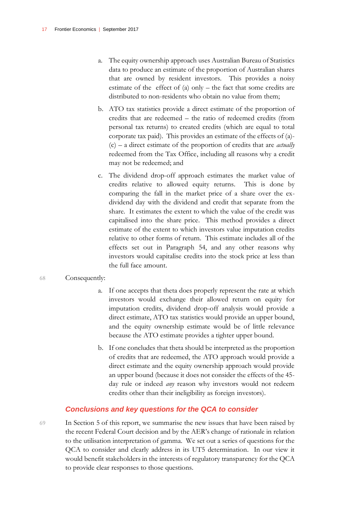- a. The equity ownership approach uses Australian Bureau of Statistics data to produce an estimate of the proportion of Australian shares that are owned by resident investors. This provides a noisy estimate of the effect of (a) only – the fact that some credits are distributed to non-residents who obtain no value from them;
- b. ATO tax statistics provide a direct estimate of the proportion of credits that are redeemed – the ratio of redeemed credits (from personal tax returns) to created credits (which are equal to total corporate tax paid). This provides an estimate of the effects of (a)- (c) – a direct estimate of the proportion of credits that are *actually* redeemed from the Tax Office, including all reasons why a credit may not be redeemed; and
- c. The dividend drop-off approach estimates the market value of credits relative to allowed equity returns. This is done by comparing the fall in the market price of a share over the exdividend day with the dividend and credit that separate from the share. It estimates the extent to which the value of the credit was capitalised into the share price. This method provides a direct estimate of the extent to which investors value imputation credits relative to other forms of return. This estimate includes all of the effects set out in Paragraph 54, and any other reasons why investors would capitalise credits into the stock price at less than the full face amount.

#### 68 Consequently:

- a. If one accepts that theta does properly represent the rate at which investors would exchange their allowed return on equity for imputation credits, dividend drop-off analysis would provide a direct estimate, ATO tax statistics would provide an upper bound, and the equity ownership estimate would be of little relevance because the ATO estimate provides a tighter upper bound.
- b. If one concludes that theta should be interpreted as the proportion of credits that are redeemed, the ATO approach would provide a direct estimate and the equity ownership approach would provide an upper bound (because it does not consider the effects of the 45 day rule or indeed *any* reason why investors would not redeem credits other than their ineligibility as foreign investors).

#### *Conclusions and key questions for the QCA to consider*

69 In Section 5 of this report, we summarise the new issues that have been raised by the recent Federal Court decision and by the AER's change of rationale in relation to the utilisation interpretation of gamma. We set out a series of questions for the QCA to consider and clearly address in its UT5 determination. In our view it would benefit stakeholders in the interests of regulatory transparency for the QCA to provide clear responses to those questions.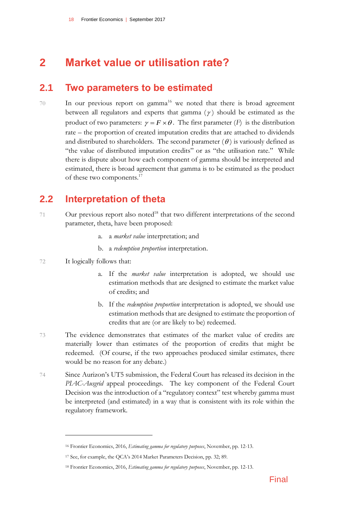# <span id="page-19-0"></span>**2 Market value or utilisation rate?**

### <span id="page-19-1"></span>**2.1 Two parameters to be estimated**

70 In our previous report on gamma<sup>16</sup> we noted that there is broad agreement between all regulators and experts that gamma  $(\gamma)$  should be estimated as the product of two parameters:  $\gamma = F \times \theta$ . The first parameter (*F*) is the distribution rate – the proportion of created imputation credits that are attached to dividends and distributed to shareholders. The second parameter  $(\theta)$  is variously defined as "the value of distributed imputation credits" or as "the utilisation rate." While there is dispute about how each component of gamma should be interpreted and estimated, there is broad agreement that gamma is to be estimated as the product of these two components.<sup>17</sup>

### <span id="page-19-2"></span>**2.2 Interpretation of theta**

- 71 Our previous report also noted<sup>18</sup> that two different interpretations of the second parameter, theta, have been proposed:
	- a. a *market value* interpretation; and
	- b. a *redemption proportion* interpretation.
- 72 It logically follows that:

- a. If the *market value* interpretation is adopted, we should use estimation methods that are designed to estimate the market value of credits; and
- b. If the *redemption proportion* interpretation is adopted, we should use estimation methods that are designed to estimate the proportion of credits that are (or are likely to be) redeemed.
- 73 The evidence demonstrates that estimates of the market value of credits are materially lower than estimates of the proportion of credits that might be redeemed. (Of course, if the two approaches produced similar estimates, there would be no reason for any debate.)
- 74 Since Aurizon's UT5 submission, the Federal Court has released its decision in the *PIAC-Ausgrid* appeal proceedings. The key component of the Federal Court Decision was the introduction of a "regulatory context" test whereby gamma must be interpreted (and estimated) in a way that is consistent with its role within the regulatory framework.

<sup>16</sup> Frontier Economics, 2016, *Estimating gamma for regulatory purposes*, November, pp. 12-13.

<sup>17</sup> See, for example, the QCA's 2014 Market Parameters Decision, pp. 32; 89.

<sup>18</sup> Frontier Economics, 2016, *Estimating gamma for regulatory purposes*, November, pp. 12-13.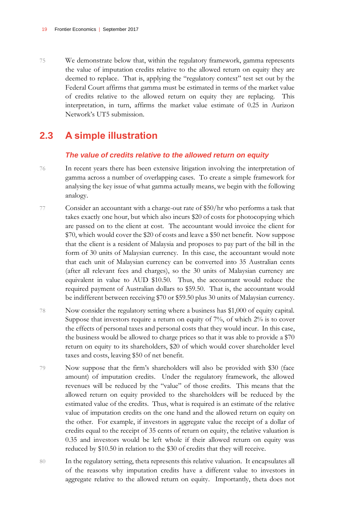75 We demonstrate below that, within the regulatory framework, gamma represents the value of imputation credits relative to the allowed return on equity they are deemed to replace. That is, applying the "regulatory context" test set out by the Federal Court affirms that gamma must be estimated in terms of the market value of credits relative to the allowed return on equity they are replacing. This interpretation, in turn, affirms the market value estimate of 0.25 in Aurizon Network's UT5 submission.

### <span id="page-20-0"></span>**2.3 A simple illustration**

#### *The value of credits relative to the allowed return on equity*

- 76 In recent years there has been extensive litigation involving the interpretation of gamma across a number of overlapping cases. To create a simple framework for analysing the key issue of what gamma actually means, we begin with the following analogy.
- 77 Consider an accountant with a charge-out rate of \$50/hr who performs a task that takes exactly one hour, but which also incurs \$20 of costs for photocopying which are passed on to the client at cost. The accountant would invoice the client for \$70, which would cover the \$20 of costs and leave a \$50 net benefit. Now suppose that the client is a resident of Malaysia and proposes to pay part of the bill in the form of 30 units of Malaysian currency. In this case, the accountant would note that each unit of Malaysian currency can be converted into 35 Australian cents (after all relevant fees and charges), so the 30 units of Malaysian currency are equivalent in value to AUD \$10.50. Thus, the accountant would reduce the required payment of Australian dollars to \$59.50. That is, the accountant would be indifferent between receiving \$70 or \$59.50 plus 30 units of Malaysian currency.
- 78 Now consider the regulatory setting where a business has \$1,000 of equity capital. Suppose that investors require a return on equity of  $7\%$ , of which  $2\%$  is to cover the effects of personal taxes and personal costs that they would incur. In this case, the business would be allowed to charge prices so that it was able to provide a \$70 return on equity to its shareholders, \$20 of which would cover shareholder level taxes and costs, leaving \$50 of net benefit.
- 79 Now suppose that the firm's shareholders will also be provided with \$30 (face amount) of imputation credits. Under the regulatory framework, the allowed revenues will be reduced by the "value" of those credits. This means that the allowed return on equity provided to the shareholders will be reduced by the estimated value of the credits. Thus, what is required is an estimate of the relative value of imputation credits on the one hand and the allowed return on equity on the other. For example, if investors in aggregate value the receipt of a dollar of credits equal to the receipt of 35 cents of return on equity, the relative valuation is 0.35 and investors would be left whole if their allowed return on equity was reduced by \$10.50 in relation to the \$30 of credits that they will receive.
- 80 In the regulatory setting, theta represents this relative valuation. It encapsulates all of the reasons why imputation credits have a different value to investors in aggregate relative to the allowed return on equity. Importantly, theta does not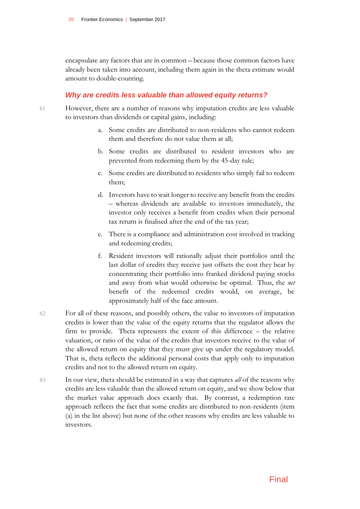encapsulate any factors that are in common – because those common factors have already been taken into account, including them again in the theta estimate would amount to double-counting.

#### *Why are credits less valuable than allowed equity returns?*

- 81 However, there are a number of reasons why imputation credits are less valuable to investors than dividends or capital gains, including:
	- a. Some credits are distributed to non-residents who cannot redeem them and therefore do not value them at all;
	- b. Some credits are distributed to resident investors who are prevented from redeeming them by the 45-day rule;
	- c. Some credits are distributed to residents who simply fail to redeem them;
	- d. Investors have to wait longer to receive any benefit from the credits – whereas dividends are available to investors immediately, the investor only receives a benefit from credits when their personal tax return is finalised after the end of the tax year;
	- e. There is a compliance and administration cost involved in tracking and redeeming credits;
	- f. Resident investors will rationally adjust their portfolios until the last dollar of credits they receive just offsets the cost they bear by concentrating their portfolio into franked dividend paying stocks and away from what would otherwise be optimal. Thus, the *net* benefit of the redeemed credits would, on average, be approximately half of the face amount.
- 82 For all of these reasons, and possibly others, the value to investors of imputation credits is lower than the value of the equity returns that the regulator allows the firm to provide. Theta represents the extent of this difference – the relative valuation, or ratio of the value of the credits that investors receive to the value of the allowed return on equity that they must give up under the regulatory model. That is, theta reflects the additional personal costs that apply only to imputation credits and not to the allowed return on equity.
- 83 In our view, theta should be estimated in a way that captures *all* of the reasons why credits are less valuable than the allowed return on equity, and we show below that the market value approach does exactly that. By contrast, a redemption rate approach reflects the fact that some credits are distributed to non-residents (item (a) in the list above) but none of the other reasons why credits are less valuable to investors.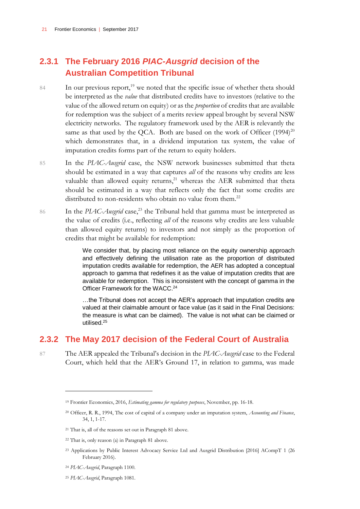### **2.3.1 The February 2016** *PIAC-Ausgrid* **decision of the Australian Competition Tribunal**

- 84 In our previous report,<sup>19</sup> we noted that the specific issue of whether theta should be interpreted as the *value* that distributed credits have to investors (relative to the value of the allowed return on equity) or as the *proportion* of credits that are available for redemption was the subject of a merits review appeal brought by several NSW electricity networks. The regulatory framework used by the AER is relevantly the same as that used by the QCA. Both are based on the work of Officer  $(1994)^{20}$ which demonstrates that, in a dividend imputation tax system, the value of imputation credits forms part of the return to equity holders.
- 85 In the *PIAC-Ausgrid* case, the NSW network businesses submitted that theta should be estimated in a way that captures *all* of the reasons why credits are less valuable than allowed equity returns, $21$  whereas the AER submitted that theta should be estimated in a way that reflects only the fact that some credits are distributed to non-residents who obtain no value from them.<sup>22</sup>
- 86 In the *PIAC-Ausgrid* case,<sup>23</sup> the Tribunal held that gamma must be interpreted as the value of credits (i.e., reflecting *all* of the reasons why credits are less valuable than allowed equity returns) to investors and not simply as the proportion of credits that might be available for redemption:

We consider that, by placing most reliance on the equity ownership approach and effectively defining the utilisation rate as the proportion of distributed imputation credits available for redemption, the AER has adopted a conceptual approach to gamma that redefines it as the value of imputation credits that are available for redemption. This is inconsistent with the concept of gamma in the Officer Framework for the WACC.<sup>24</sup>

…the Tribunal does not accept the AER's approach that imputation credits are valued at their claimable amount or face value (as it said in the Final Decisions: the measure is what can be claimed). The value is not what can be claimed or utilised.<sup>25</sup>

#### **2.3.2 The May 2017 decision of the Federal Court of Australia**

 $\overline{a}$ 

87 The AER appealed the Tribunal's decision in the *PIAC-Ausgrid* case to the Federal Court, which held that the AER's Ground 17, in relation to gamma, was made

<sup>19</sup> Frontier Economics, 2016, *Estimating gamma for regulatory purposes*, November, pp. 16-18.

<sup>20</sup> Officer, R. R., 1994, The cost of capital of a company under an imputation system, *Accounting and Finance*, 34, 1, 1-17.

<sup>21</sup> That is, all of the reasons set out in Paragraph 81 above.

<sup>22</sup> That is, only reason (a) in Paragraph 81 above.

<sup>23</sup> Applications by Public Interest Advocacy Service Ltd and Ausgrid Distribution [2016] ACompT 1 (26 February 2016).

<sup>24</sup> *PIAC-Ausgrid*, Paragraph 1100.

<sup>25</sup> *PIAC-Ausgrid*, Paragraph 1081.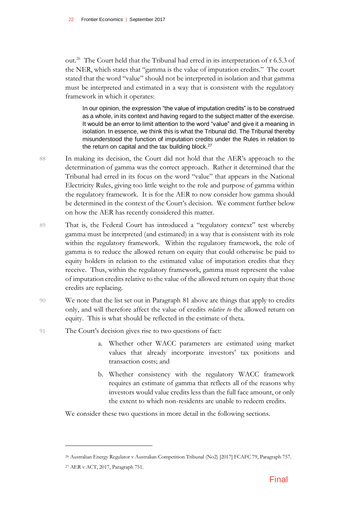out.<sup>26</sup> The Court held that the Tribunal had erred in its interpretation of r 6.5.3 of the NER, which states that "gamma is the value of imputation credits." The court stated that the word "value" should not be interpreted in isolation and that gamma must be interpreted and estimated in a way that is consistent with the regulatory framework in which it operates:

In our opinion, the expression "the value of imputation credits" is to be construed as a whole, in its context and having regard to the subject matter of the exercise. It would be an error to limit attention to the word "value" and give it a meaning in isolation. In essence, we think this is what the Tribunal did. The Tribunal thereby misunderstood the function of imputation credits under the Rules in relation to the return on capital and the tax building block. $27$ 

- 88 In making its decision, the Court did not hold that the AER's approach to the determination of gamma was the correct approach. Rather it determined that the Tribunal had erred in its focus on the word "value" that appears in the National Electricity Rules, giving too little weight to the role and purpose of gamma within the regulatory framework. It is for the AER to now consider how gamma should be determined in the context of the Court's decision. We comment further below on how the AER has recently considered this matter.
- 89 That is, the Federal Court has introduced a "regulatory context" test whereby gamma must be interpreted (and estimated) in a way that is consistent with its role within the regulatory framework. Within the regulatory framework, the role of gamma is to reduce the allowed return on equity that could otherwise be paid to equity holders in relation to the estimated value of imputation credits that they receive. Thus, within the regulatory framework, gamma must represent the value of imputation credits relative to the value of the allowed return on equity that those credits are replacing.
- 90 We note that the list set out in Paragraph 81 above are things that apply to credits only, and will therefore affect the value of credits *relative to* the allowed return on equity. This is what should be reflected in the estimate of theta.

#### 91 The Court's decision gives rise to two questions of fact:

- a. Whether other WACC parameters are estimated using market values that already incorporate investors' tax positions and transaction costs; and
- b. Whether consistency with the regulatory WACC framework requires an estimate of gamma that reflects all of the reasons why investors would value credits less than the full face amount, or only the extent to which non-residents are unable to redeem credits.

We consider these two questions in more detail in the following sections.

<sup>26</sup> Australian Energy Regulator v Australian Competition Tribunal (No2) [2017] FCAFC 79, Paragraph 757.

<sup>27</sup> AER v ACT, 2017, Paragraph 751.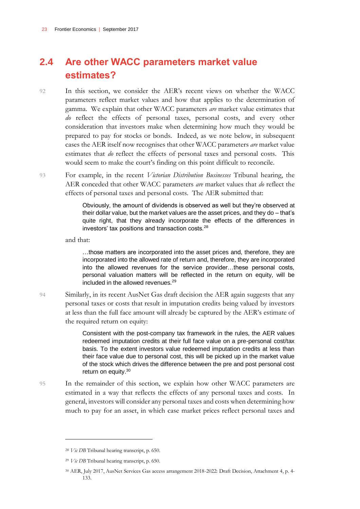### <span id="page-24-0"></span>**2.4 Are other WACC parameters market value estimates?**

92 In this section, we consider the AER's recent views on whether the WACC parameters reflect market values and how that applies to the determination of gamma. We explain that other WACC parameters *are* market value estimates that *do* reflect the effects of personal taxes, personal costs, and every other consideration that investors make when determining how much they would be prepared to pay for stocks or bonds. Indeed, as we note below, in subsequent cases the AER itself now recognises that other WACC parameters *are* market value estimates that *do* reflect the effects of personal taxes and personal costs. This would seem to make the court's finding on this point difficult to reconcile.

93 For example, in the recent *Victorian Distribution Businesses* Tribunal hearing, the AER conceded that other WACC parameters *are* market values that *do* reflect the effects of personal taxes and personal costs. The AER submitted that:

> Obviously, the amount of dividends is observed as well but they're observed at their dollar value, but the market values are the asset prices, and they do – that's quite right, that they already incorporate the effects of the differences in investors' tax positions and transaction costs.<sup>28</sup>

and that:

…those matters are incorporated into the asset prices and, therefore, they are incorporated into the allowed rate of return and, therefore, they are incorporated into the allowed revenues for the service provider…these personal costs, personal valuation matters will be reflected in the return on equity, will be included in the allowed revenues.<sup>29</sup>

94 Similarly, in its recent AusNet Gas draft decision the AER again suggests that any personal taxes or costs that result in imputation credits being valued by investors at less than the full face amount will already be captured by the AER's estimate of the required return on equity:

> Consistent with the post-company tax framework in the rules, the AER values redeemed imputation credits at their full face value on a pre-personal cost/tax basis. To the extent investors value redeemed imputation credits at less than their face value due to personal cost, this will be picked up in the market value of the stock which drives the difference between the pre and post personal cost return on equity.<sup>30</sup>

95 In the remainder of this section, we explain how other WACC parameters are estimated in a way that reflects the effects of any personal taxes and costs. In general, investors will consider any personal taxes and costs when determining how much to pay for an asset, in which case market prices reflect personal taxes and

<sup>28</sup> *Vic DB* Tribunal hearing transcript, p. 650.

<sup>29</sup> *Vic DB* Tribunal hearing transcript, p. 650.

<sup>30</sup> AER, July 2017, AusNet Services Gas access arrangement 2018-2022: Draft Decision, Attachment 4, p. 4- 133.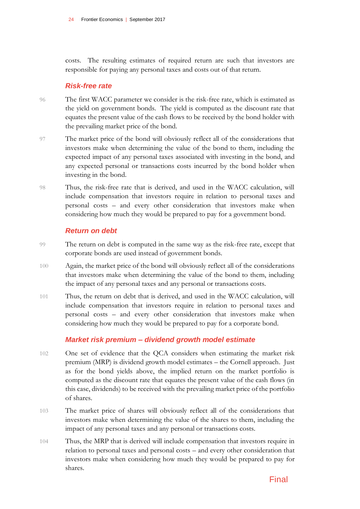costs. The resulting estimates of required return are such that investors are responsible for paying any personal taxes and costs out of that return.

#### *Risk-free rate*

- 96 The first WACC parameter we consider is the risk-free rate, which is estimated as the yield on government bonds. The yield is computed as the discount rate that equates the present value of the cash flows to be received by the bond holder with the prevailing market price of the bond.
- 97 The market price of the bond will obviously reflect all of the considerations that investors make when determining the value of the bond to them, including the expected impact of any personal taxes associated with investing in the bond, and any expected personal or transactions costs incurred by the bond holder when investing in the bond.
- 98 Thus, the risk-free rate that is derived, and used in the WACC calculation, will include compensation that investors require in relation to personal taxes and personal costs – and every other consideration that investors make when considering how much they would be prepared to pay for a government bond.

#### *Return on debt*

- 99 The return on debt is computed in the same way as the risk-free rate, except that corporate bonds are used instead of government bonds.
- 100 Again, the market price of the bond will obviously reflect all of the considerations that investors make when determining the value of the bond to them, including the impact of any personal taxes and any personal or transactions costs.
- 101 Thus, the return on debt that is derived, and used in the WACC calculation, will include compensation that investors require in relation to personal taxes and personal costs – and every other consideration that investors make when considering how much they would be prepared to pay for a corporate bond.

#### *Market risk premium – dividend growth model estimate*

- 102 One set of evidence that the QCA considers when estimating the market risk premium (MRP) is dividend growth model estimates – the Cornell approach. Just as for the bond yields above, the implied return on the market portfolio is computed as the discount rate that equates the present value of the cash flows (in this case, dividends) to be received with the prevailing market price of the portfolio of shares.
- 103 The market price of shares will obviously reflect all of the considerations that investors make when determining the value of the shares to them, including the impact of any personal taxes and any personal or transactions costs.
- 104 Thus, the MRP that is derived will include compensation that investors require in relation to personal taxes and personal costs – and every other consideration that investors make when considering how much they would be prepared to pay for shares.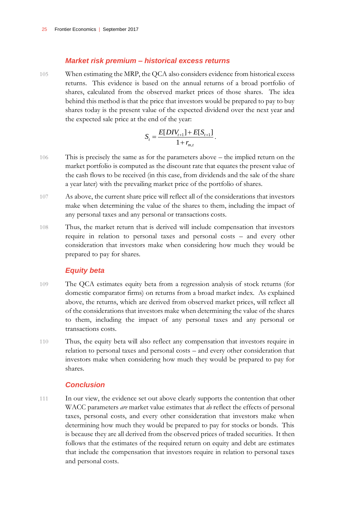#### *Market risk premium – historical excess returns*

105 When estimating the MRP, the QCA also considers evidence from historical excess returns. This evidence is based on the annual returns of a broad portfolio of shares, calculated from the observed market prices of those shares. The idea behind this method is that the price that investors would be prepared to pay to buy shares today is the present value of the expected dividend over the next year and the expected sale price at the end of the year:

$$
S_t = \frac{E[DIV_{t+1}] + E[S_{t+1}]}{1 + r_{m,t}}
$$

.

- 106 This is precisely the same as for the parameters above the implied return on the market portfolio is computed as the discount rate that equates the present value of the cash flows to be received (in this case, from dividends and the sale of the share a year later) with the prevailing market price of the portfolio of shares.
- 107 As above, the current share price will reflect all of the considerations that investors make when determining the value of the shares to them, including the impact of any personal taxes and any personal or transactions costs.
- 108 Thus, the market return that is derived will include compensation that investors require in relation to personal taxes and personal costs – and every other consideration that investors make when considering how much they would be prepared to pay for shares.

#### *Equity beta*

- 109 The QCA estimates equity beta from a regression analysis of stock returns (for domestic comparator firms) on returns from a broad market index. As explained above, the returns, which are derived from observed market prices, will reflect all of the considerations that investors make when determining the value of the shares to them, including the impact of any personal taxes and any personal or transactions costs.
- 110 Thus, the equity beta will also reflect any compensation that investors require in relation to personal taxes and personal costs – and every other consideration that investors make when considering how much they would be prepared to pay for shares.

#### *Conclusion*

111 In our view, the evidence set out above clearly supports the contention that other WACC parameters *are* market value estimates that *do* reflect the effects of personal taxes, personal costs, and every other consideration that investors make when determining how much they would be prepared to pay for stocks or bonds. This is because they are all derived from the observed prices of traded securities. It then follows that the estimates of the required return on equity and debt are estimates that include the compensation that investors require in relation to personal taxes and personal costs.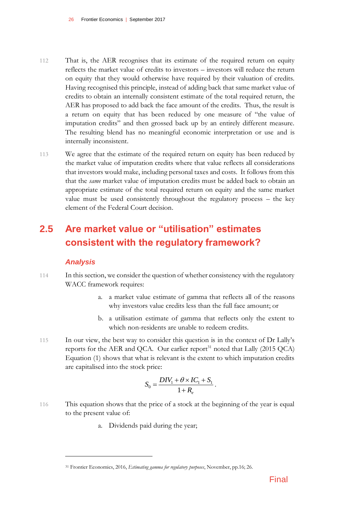- 112 That is, the AER recognises that its estimate of the required return on equity reflects the market value of credits to investors – investors will reduce the return on equity that they would otherwise have required by their valuation of credits. Having recognised this principle, instead of adding back that same market value of credits to obtain an internally consistent estimate of the total required return, the AER has proposed to add back the face amount of the credits. Thus, the result is a return on equity that has been reduced by one measure of "the value of imputation credits" and then grossed back up by an entirely different measure. The resulting blend has no meaningful economic interpretation or use and is internally inconsistent.
- 113 We agree that the estimate of the required return on equity has been reduced by the market value of imputation credits where that value reflects all considerations that investors would make, including personal taxes and costs. It follows from this that the *same* market value of imputation credits must be added back to obtain an appropriate estimate of the total required return on equity and the same market value must be used consistently throughout the regulatory process – the key element of the Federal Court decision.

### <span id="page-27-0"></span>**2.5 Are market value or "utilisation" estimates consistent with the regulatory framework?**

#### *Analysis*

- 114 In this section, we consider the question of whether consistency with the regulatory WACC framework requires:
	- a. a market value estimate of gamma that reflects all of the reasons why investors value credits less than the full face amount; or
	- b. a utilisation estimate of gamma that reflects only the extent to which non-residents are unable to redeem credits.
- 115 In our view, the best way to consider this question is in the context of Dr Lally's reports for the AER and QCA. Our earlier report<sup>31</sup> noted that Lally (2015 QCA) Equation (1) shows that what is relevant is the extent to which imputation credits are capitalised into the stock price:

$$
S_0 = \frac{DIV_1 + \theta \times IC_1 + S_1}{1 + R_e}.
$$

- 116 This equation shows that the price of a stock at the beginning of the year is equal to the present value of:
	- a. Dividends paid during the year;

<sup>31</sup> Frontier Economics, 2016, *Estimating gamma for regulatory purposes*, November, pp.16; 26.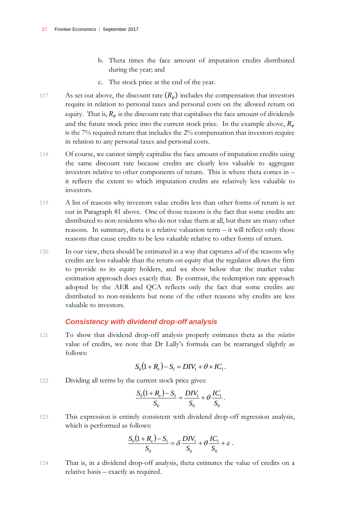- b. Theta times the face amount of imputation credits distributed during the year; and
- c. The stock price at the end of the year.
- 117 As set out above, the discount rate  $(R_e)$  includes the compensation that investors require in relation to personal taxes and personal costs on the allowed return on equity. That is,  $R_e$  is the discount rate that capitalises the face amount of dividends and the future stock price into the current stock price. In the example above,  $R_e$ is the 7% required return that includes the 2% compensation that investors require in relation to any personal taxes and personal costs.
- 118 Of course, we cannot simply capitalise the face amount of imputation credits using the same discount rate because credits are clearly less valuable to aggregate investors relative to other components of return. This is where theta comes in – it reflects the extent to which imputation credits are relatively less valuable to investors.
- 119 A list of reasons why investors value credits less than other forms of return is set out in Paragraph 81 above. One of those reasons is the fact that some credits are distributed to non-residents who do not value them at all, but there are many other reasons. In summary, theta is a relative valuation term – it will reflect only those reasons that cause credits to be less valuable relative to other forms of return.
- 120 In our view, theta should be estimated in a way that captures *all* of the reasons why credits are less valuable than the return on equity that the regulator allows the firm to provide to its equity holders, and we show below that the market value estimation approach does exactly that. By contrast, the redemption rate approach adopted by the AER and QCA reflects only the fact that some credits are distributed to non-residents but none of the other reasons why credits are less valuable to investors.

#### *Consistency with dividend drop-off analysis*

121 To show that dividend drop-off analysis properly estimates theta as the *relative* value of credits, we note that Dr Lally's formula can be rearranged slightly as follows:

$$
S_0(1 + R_e) - S_1 = DIV_1 + \theta \times IC_1.
$$

122 Dividing all terms by the current stock price gives:

$$
\frac{S_0(1+R_e)-S_1}{S_0} = \frac{DIV_1}{S_0} + \theta \frac{IC_1}{S_0}.
$$

123 This expression is entirely consistent with dividend drop-off regression analysis, which is performed as follows:

$$
\frac{S_0(1+R_e)-S_1}{S_0} = \delta \frac{DIV_1}{S_0} + \theta \frac{IC_1}{S_0} + \varepsilon.
$$

124 That is, in a dividend drop-off analysis, theta estimates the value of credits on a relative basis – exactly as required.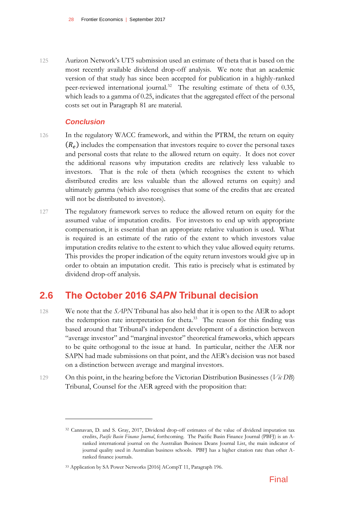125 Aurizon Network's UT5 submission used an estimate of theta that is based on the most recently available dividend drop-off analysis. We note that an academic version of that study has since been accepted for publication in a highly-ranked peer-reviewed international journal.<sup>32</sup> The resulting estimate of theta of 0.35, which leads to a gamma of 0.25, indicates that the aggregated effect of the personal costs set out in Paragraph 81 are material.

#### *Conclusion*

 $\overline{a}$ 

- 126 In the regulatory WACC framework, and within the PTRM, the return on equity  $(R_e)$  includes the compensation that investors require to cover the personal taxes and personal costs that relate to the allowed return on equity. It does not cover the additional reasons why imputation credits are relatively less valuable to investors. That is the role of theta (which recognises the extent to which distributed credits are less valuable than the allowed returns on equity) and ultimately gamma (which also recognises that some of the credits that are created will not be distributed to investors).
- 127 The regulatory framework serves to reduce the allowed return on equity for the assumed value of imputation credits. For investors to end up with appropriate compensation, it is essential than an appropriate relative valuation is used. What is required is an estimate of the ratio of the extent to which investors value imputation credits relative to the extent to which they value allowed equity returns. This provides the proper indication of the equity return investors would give up in order to obtain an imputation credit. This ratio is precisely what is estimated by dividend drop-off analysis.

### <span id="page-29-0"></span>**2.6 The October 2016** *SAPN* **Tribunal decision**

- 128 We note that the *SAPN* Tribunal has also held that it is open to the AER to adopt the redemption rate interpretation for theta. 33 The reason for this finding was based around that Tribunal's independent development of a distinction between "average investor" and "marginal investor" theoretical frameworks, which appears to be quite orthogonal to the issue at hand. In particular, neither the AER nor SAPN had made submissions on that point, and the AER's decision was not based on a distinction between average and marginal investors.
- 129 On this point, in the hearing before the Victorian Distribution Businesses (*Vic DB*) Tribunal, Counsel for the AER agreed with the proposition that:

<sup>32</sup> Cannavan, D. and S. Gray, 2017, Dividend drop-off estimates of the value of dividend imputation tax credits, *Pacific Basin Finance Journal*, forthcoming. The Pacific Basin Finance Journal (PBFJ) is an Aranked international journal on the Australian Business Deans Journal List, the main indicator of journal quality used in Australian business schools. PBFJ has a higher citation rate than other Aranked finance journals.

<sup>33</sup> Application by SA Power Networks [2016] ACompT 11, Paragraph 196.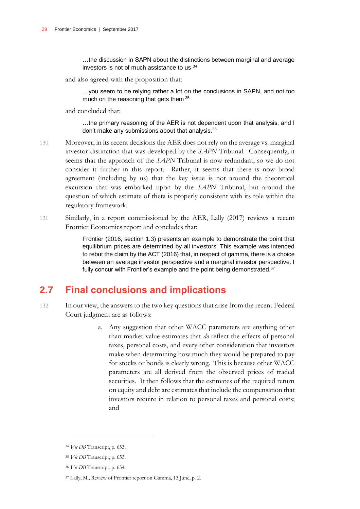…the discussion in SAPN about the distinctions between marginal and average investors is not of much assistance to us <sup>34</sup>

and also agreed with the proposition that:

…you seem to be relying rather a lot on the conclusions in SAPN, and not too much on the reasoning that gets them 35

and concluded that:

…the primary reasoning of the AER is not dependent upon that analysis, and I don't make any submissions about that analysis.<sup>36</sup>

- 130 Moreover, in its recent decisions the AER does not rely on the average vs. marginal investor distinction that was developed by the *SAPN* Tribunal. Consequently, it seems that the approach of the *SAPN* Tribunal is now redundant, so we do not consider it further in this report. Rather, it seems that there is now broad agreement (including by us) that the key issue is not around the theoretical excursion that was embarked upon by the *SAPN* Tribunal, but around the question of which estimate of theta is properly consistent with its role within the regulatory framework.
- 131 Similarly, in a report commissioned by the AER, Lally (2017) reviews a recent Frontier Economics report and concludes that:

Frontier (2016, section 1.3) presents an example to demonstrate the point that equilibrium prices are determined by all investors. This example was intended to rebut the claim by the ACT (2016) that, in respect of gamma, there is a choice between an average investor perspective and a marginal investor perspective. I fully concur with Frontier's example and the point being demonstrated.<sup>37</sup>

### <span id="page-30-0"></span>**2.7 Final conclusions and implications**

- 132 In our view, the answers to the two key questions that arise from the recent Federal Court judgment are as follows:
	- a. Any suggestion that other WACC parameters are anything other than market value estimates that *do* reflect the effects of personal taxes, personal costs, and every other consideration that investors make when determining how much they would be prepared to pay for stocks or bonds is clearly wrong. This is because other WACC parameters are all derived from the observed prices of traded securities. It then follows that the estimates of the required return on equity and debt are estimates that include the compensation that investors require in relation to personal taxes and personal costs; and

<sup>34</sup> *Vic DB* Transcript, p. 653.

<sup>35</sup> *Vic DB* Transcript, p. 653.

<sup>36</sup> *Vic DB* Transcript, p. 654.

<sup>37</sup> Lally, M., Review of Frontier report on Gamma, 13 June, p. 2.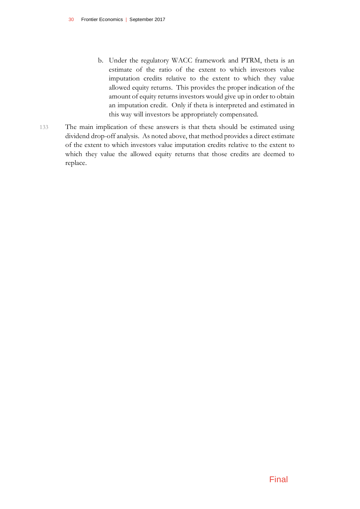- b. Under the regulatory WACC framework and PTRM, theta is an estimate of the ratio of the extent to which investors value imputation credits relative to the extent to which they value allowed equity returns. This provides the proper indication of the amount of equity returns investors would give up in order to obtain an imputation credit. Only if theta is interpreted and estimated in this way will investors be appropriately compensated.
- 133 The main implication of these answers is that theta should be estimated using dividend drop-off analysis. As noted above, that method provides a direct estimate of the extent to which investors value imputation credits relative to the extent to which they value the allowed equity returns that those credits are deemed to replace.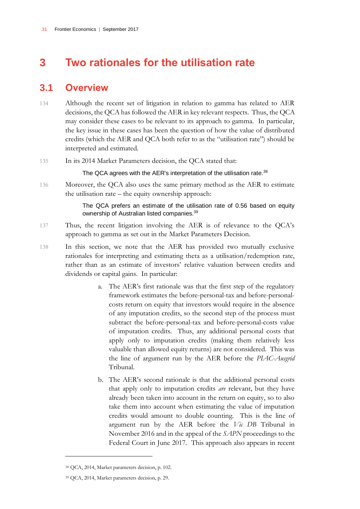# <span id="page-32-0"></span>**3 Two rationales for the utilisation rate**

### <span id="page-32-1"></span>**3.1 Overview**

- 134 Although the recent set of litigation in relation to gamma has related to AER decisions, the QCA has followed the AER in key relevant respects. Thus, the QCA may consider these cases to be relevant to its approach to gamma. In particular, the key issue in these cases has been the question of how the value of distributed credits (which the AER and QCA both refer to as the "utilisation rate") should be interpreted and estimated.
- 135 In its 2014 Market Parameters decision, the QCA stated that:

#### The QCA agrees with the AER's interpretation of the utilisation rate.<sup>38</sup>

136 Moreover, the QCA also uses the same primary method as the AER to estimate the utilisation rate – the equity ownership approach:

> The QCA prefers an estimate of the utilisation rate of 0.56 based on equity ownership of Australian listed companies.<sup>39</sup>

- 137 Thus, the recent litigation involving the AER is of relevance to the QCA's approach to gamma as set out in the Market Parameters Decision.
- 138 In this section, we note that the AER has provided two mutually exclusive rationales for interpreting and estimating theta as a utilisation/redemption rate, rather than as an estimate of investors' relative valuation between credits and dividends or capital gains. In particular:
	- a. The AER's first rationale was that the first step of the regulatory framework estimates the before-personal-tax and before-personalcosts return on equity that investors would require in the absence of any imputation credits, so the second step of the process must subtract the before-personal-tax and before-personal-costs value of imputation credits. Thus, any additional personal costs that apply only to imputation credits (making them relatively less valuable than allowed equity returns) are not considered. This was the line of argument run by the AER before the *PIAC-Ausgrid* Tribunal.
	- b. The AER's second rationale is that the additional personal costs that apply only to imputation credits *are* relevant, but they have already been taken into account in the return on equity, so to also take them into account when estimating the value of imputation credits would amount to double counting. This is the line of argument run by the AER before the *Vic DB* Tribunal in November 2016 and in the appeal of the *SAPN* proceedings to the Federal Court in June 2017. This approach also appears in recent

<sup>38</sup> QCA, 2014, Market parameters decision, p. 102.

<sup>39</sup> QCA, 2014, Market parameters decision, p. 29.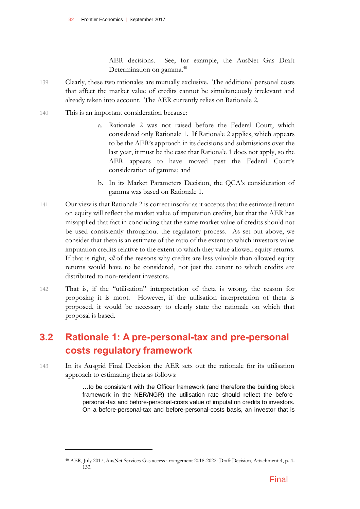AER decisions. See, for example, the AusNet Gas Draft Determination on gamma.<sup>40</sup>

- 139 Clearly, these two rationales are mutually exclusive. The additional personal costs that affect the market value of credits cannot be simultaneously irrelevant and already taken into account. The AER currently relies on Rationale 2.
- 140 This is an important consideration because:

 $\overline{a}$ 

- a. Rationale 2 was not raised before the Federal Court, which considered only Rationale 1. If Rationale 2 applies, which appears to be the AER's approach in its decisions and submissions over the last year, it must be the case that Rationale 1 does not apply, so the AER appears to have moved past the Federal Court's consideration of gamma; and
- b. In its Market Parameters Decision, the QCA's consideration of gamma was based on Rationale 1.
- 141 Our view is that Rationale 2 is correct insofar as it accepts that the estimated return on equity will reflect the market value of imputation credits, but that the AER has misapplied that fact in concluding that the same market value of credits should not be used consistently throughout the regulatory process. As set out above, we consider that theta is an estimate of the ratio of the extent to which investors value imputation credits relative to the extent to which they value allowed equity returns. If that is right, *all* of the reasons why credits are less valuable than allowed equity returns would have to be considered, not just the extent to which credits are distributed to non-resident investors.
- 142 That is, if the "utilisation" interpretation of theta is wrong, the reason for proposing it is moot. However, if the utilisation interpretation of theta is proposed, it would be necessary to clearly state the rationale on which that proposal is based.

### <span id="page-33-0"></span>**3.2 Rationale 1: A pre-personal-tax and pre-personal costs regulatory framework**

143 In its Ausgrid Final Decision the AER sets out the rationale for its utilisation approach to estimating theta as follows:

> …to be consistent with the Officer framework (and therefore the building block framework in the NER/NGR) the utilisation rate should reflect the beforepersonal-tax and before-personal-costs value of imputation credits to investors. On a before-personal-tax and before-personal-costs basis, an investor that is

<sup>40</sup> AER, July 2017, AusNet Services Gas access arrangement 2018-2022: Draft Decision, Attachment 4, p. 4- 133.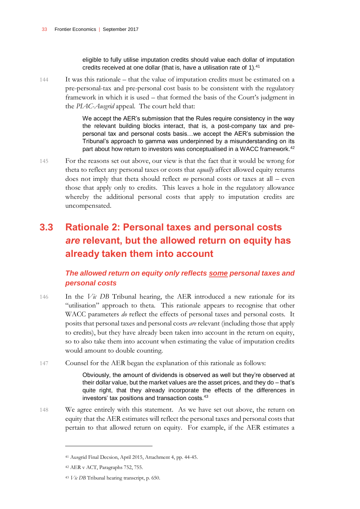eligible to fully utilise imputation credits should value each dollar of imputation credits received at one dollar (that is, have a utilisation rate of 1). $41$ 

144 It was this rationale – that the value of imputation credits must be estimated on a pre-personal-tax and pre-personal cost basis to be consistent with the regulatory framework in which it is used – that formed the basis of the Court's judgment in the *PIAC-Ausgrid* appeal. The court held that:

> We accept the AER's submission that the Rules require consistency in the way the relevant building blocks interact, that is, a post-company tax and prepersonal tax and personal costs basis…we accept the AER's submission the Tribunal's approach to gamma was underpinned by a misunderstanding on its part about how return to investors was conceptualised in a WACC framework.<sup>42</sup>

145 For the reasons set out above, our view is that the fact that it would be wrong for theta to reflect any personal taxes or costs that *equally* affect allowed equity returns does not imply that theta should reflect *no* personal costs or taxes at all – even those that apply only to credits. This leaves a hole in the regulatory allowance whereby the additional personal costs that apply to imputation credits are uncompensated.

## <span id="page-34-0"></span>**3.3 Rationale 2: Personal taxes and personal costs**  *are* **relevant, but the allowed return on equity has already taken them into account**

#### *The allowed return on equity only reflects some personal taxes and personal costs*

- 146 In the *Vic DB* Tribunal hearing, the AER introduced a new rationale for its "utilisation" approach to theta. This rationale appears to recognise that other WACC parameters *do* reflect the effects of personal taxes and personal costs. It posits that personal taxes and personal costs *are* relevant (including those that apply to credits), but they have already been taken into account in the return on equity, so to also take them into account when estimating the value of imputation credits would amount to double counting.
- 147 Counsel for the AER began the explanation of this rationale as follows:

Obviously, the amount of dividends is observed as well but they're observed at their dollar value, but the market values are the asset prices, and they do – that's quite right, that they already incorporate the effects of the differences in investors' tax positions and transaction costs.<sup>43</sup>

148 We agree entirely with this statement. As we have set out above, the return on equity that the AER estimates will reflect the personal taxes and personal costs that pertain to that allowed return on equity. For example, if the AER estimates a

<sup>41</sup> Ausgrid Final Decsion, April 2015, Attachment 4, pp. 44-45.

<sup>42</sup> AER v ACT, Paragraphs 752, 755.

<sup>43</sup> *Vic DB* Tribunal hearing transcript, p. 650.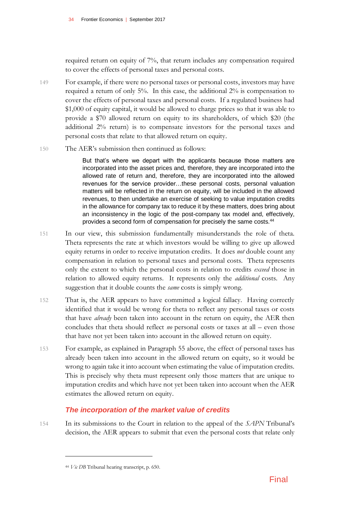required return on equity of 7%, that return includes any compensation required to cover the effects of personal taxes and personal costs.

- 149 For example, if there were no personal taxes or personal costs, investors may have required a return of only 5%. In this case, the additional 2% is compensation to cover the effects of personal taxes and personal costs. If a regulated business had \$1,000 of equity capital, it would be allowed to charge prices so that it was able to provide a \$70 allowed return on equity to its shareholders, of which \$20 (the additional 2% return) is to compensate investors for the personal taxes and personal costs that relate to that allowed return on equity.
- 150 The AER's submission then continued as follows:

But that's where we depart with the applicants because those matters are incorporated into the asset prices and, therefore, they are incorporated into the allowed rate of return and, therefore, they are incorporated into the allowed revenues for the service provider…these personal costs, personal valuation matters will be reflected in the return on equity, will be included in the allowed revenues, to then undertake an exercise of seeking to value imputation credits in the allowance for company tax to reduce it by these matters, does bring about an inconsistency in the logic of the post-company tax model and, effectively, provides a second form of compensation for precisely the same costs.<sup>44</sup>

- 151 In our view, this submission fundamentally misunderstands the role of theta. Theta represents the rate at which investors would be willing to give up allowed equity returns in order to receive imputation credits. It does *not* double count any compensation in relation to personal taxes and personal costs. Theta represents only the extent to which the personal costs in relation to credits *exceed* those in relation to allowed equity returns. It represents only the *additional* costs. Any suggestion that it double counts the *same* costs is simply wrong.
- 152 That is, the AER appears to have committed a logical fallacy. Having correctly identified that it would be wrong for theta to reflect any personal taxes or costs that have *already* been taken into account in the return on equity, the AER then concludes that theta should reflect *no* personal costs or taxes at all – even those that have not yet been taken into account in the allowed return on equity.
- 153 For example, as explained in Paragraph 55 above, the effect of personal taxes has already been taken into account in the allowed return on equity, so it would be wrong to again take it into account when estimating the value of imputation credits. This is precisely why theta must represent only those matters that are unique to imputation credits and which have not yet been taken into account when the AER estimates the allowed return on equity.

#### *The incorporation of the market value of credits*

154 In its submissions to the Court in relation to the appeal of the *SAPN* Tribunal's decision, the AER appears to submit that even the personal costs that relate only

<sup>44</sup> *Vic DB* Tribunal hearing transcript, p. 650.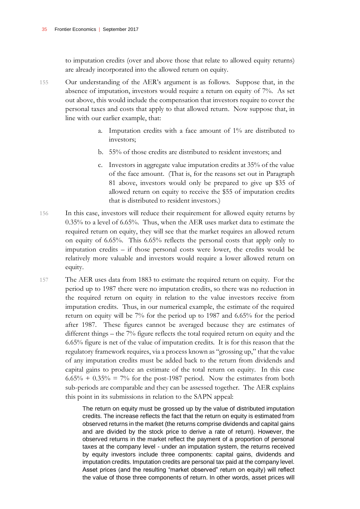to imputation credits (over and above those that relate to allowed equity returns) are already incorporated into the allowed return on equity.

- 155 Our understanding of the AER's argument is as follows. Suppose that, in the absence of imputation, investors would require a return on equity of 7%. As set out above, this would include the compensation that investors require to cover the personal taxes and costs that apply to that allowed return. Now suppose that, in line with our earlier example, that:
	- a. Imputation credits with a face amount of 1% are distributed to investors;
	- b. 55% of those credits are distributed to resident investors; and
	- c. Investors in aggregate value imputation credits at 35% of the value of the face amount. (That is, for the reasons set out in Paragraph 81 above, investors would only be prepared to give up \$35 of allowed return on equity to receive the \$55 of imputation credits that is distributed to resident investors.)
- 156 In this case, investors will reduce their requirement for allowed equity returns by 0.35% to a level of 6.65%. Thus, when the AER uses market data to estimate the required return on equity, they will see that the market requires an allowed return on equity of 6.65%. This 6.65% reflects the personal costs that apply only to imputation credits – if those personal costs were lower, the credits would be relatively more valuable and investors would require a lower allowed return on equity.
- 157 The AER uses data from 1883 to estimate the required return on equity. For the period up to 1987 there were no imputation credits, so there was no reduction in the required return on equity in relation to the value investors receive from imputation credits. Thus, in our numerical example, the estimate of the required return on equity will be 7% for the period up to 1987 and 6.65% for the period after 1987. These figures cannot be averaged because they are estimates of different things – the 7% figure reflects the total required return on equity and the 6.65% figure is net of the value of imputation credits. It is for this reason that the regulatory framework requires, via a process known as "grossing up," that the value of any imputation credits must be added back to the return from dividends and capital gains to produce an estimate of the total return on equity. In this case  $6.65\% + 0.35\% = 7\%$  for the post-1987 period. Now the estimates from both sub-periods are comparable and they can be assessed together. The AER explains this point in its submissions in relation to the SAPN appeal:

The return on equity must be grossed up by the value of distributed imputation credits. The increase reflects the fact that the return on equity is estimated from observed returns in the market (the returns comprise dividends and capital gains and are divided by the stock price to derive a rate of return). However, the observed returns in the market reflect the payment of a proportion of personal taxes at the company level - under an imputation system, the returns received by equity investors include three components: capital gains, dividends and imputation credits. Imputation credits are personal tax paid at the company level. Asset prices (and the resulting "market observed" return on equity) will reflect the value of those three components of return. In other words, asset prices will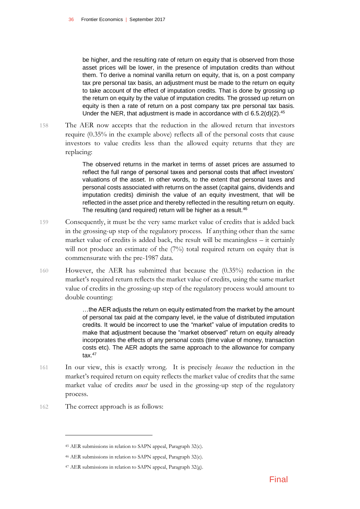be higher, and the resulting rate of return on equity that is observed from those asset prices will be lower, in the presence of imputation credits than without them. To derive a nominal vanilla return on equity, that is, on a post company tax pre personal tax basis, an adjustment must be made to the return on equity to take account of the effect of imputation credits. That is done by grossing up the return on equity by the value of imputation credits. The grossed up return on equity is then a rate of return on a post company tax pre personal tax basis. Under the NER, that adjustment is made in accordance with cl  $6.5.2(d)(2).^{45}$ 

158 The AER now accepts that the reduction in the allowed return that investors require (0.35% in the example above) reflects all of the personal costs that cause investors to value credits less than the allowed equity returns that they are replacing:

> The observed returns in the market in terms of asset prices are assumed to reflect the full range of personal taxes and personal costs that affect investors' valuations of the asset. In other words, to the extent that personal taxes and personal costs associated with returns on the asset (capital gains, dividends and imputation credits) diminish the value of an equity investment, that will be reflected in the asset price and thereby reflected in the resulting return on equity. The resulting (and required) return will be higher as a result.<sup>46</sup>

- 159 Consequently, it must be the very same market value of credits that is added back in the grossing-up step of the regulatory process. If anything other than the same market value of credits is added back, the result will be meaningless – it certainly will not produce an estimate of the  $(7%)$  total required return on equity that is commensurate with the pre-1987 data.
- 160 However, the AER has submitted that because the (0.35%) reduction in the market's required return reflects the market value of credits, using the same market value of credits in the grossing-up step of the regulatory process would amount to double counting:

…the AER adjusts the return on equity estimated from the market by the amount of personal tax paid at the company level, ie the value of distributed imputation credits. It would be incorrect to use the "market" value of imputation credits to make that adjustment because the "market observed" return on equity already incorporates the effects of any personal costs (time value of money, transaction costs etc). The AER adopts the same approach to the allowance for company tax $47$ 

- 161 In our view, this is exactly wrong. It is precisely *because* the reduction in the market's required return on equity reflects the market value of credits that the same market value of credits *must* be used in the grossing-up step of the regulatory process.
- 162 The correct approach is as follows:

<sup>45</sup> AER submissions in relation to SAPN appeal, Paragraph 32(c).

<sup>46</sup> AER submissions in relation to SAPN appeal, Paragraph 32(e).

<sup>47</sup> AER submissions in relation to SAPN appeal, Paragraph 32(g).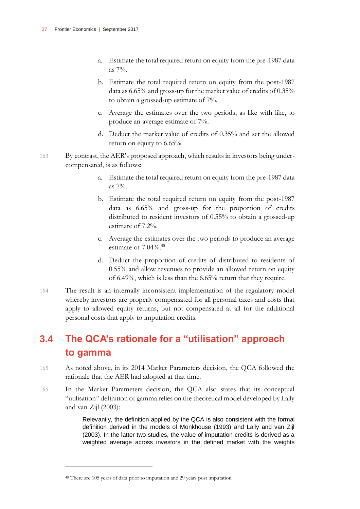- a. Estimate the total required return on equity from the pre-1987 data as 7%.
- b. Estimate the total required return on equity from the post-1987 data as 6.65% and gross-up for the market value of credits of 0.35% to obtain a grossed-up estimate of 7%.
- c. Average the estimates over the two periods, as like with like, to produce an average estimate of 7%.
- d. Deduct the market value of credits of 0.35% and set the allowed return on equity to 6.65%.
- 163 By contrast, the AER's proposed approach, which results in investors being undercompensated, is as follows:
	- a. Estimate the total required return on equity from the pre-1987 data as  $7\%$ .
	- b. Estimate the total required return on equity from the post-1987 data as 6.65% and gross-up for the proportion of credits distributed to resident investors of 0.55% to obtain a grossed-up estimate of 7.2%.
	- c. Average the estimates over the two periods to produce an average estimate of  $7.04\%$ .<sup>48</sup>
	- d. Deduct the proportion of credits of distributed to residents of 0.55% and allow revenues to provide an allowed return on equity of 6.49%, which is less than the 6.65% return that they require.
- 164 The result is an internally inconsistent implementation of the regulatory model whereby investors are properly compensated for all personal taxes and costs that apply to allowed equity returns, but not compensated at all for the additional personal costs that apply to imputation credits.

## <span id="page-38-0"></span>**3.4 The QCA's rationale for a "utilisation" approach to gamma**

- 165 As noted above, in its 2014 Market Parameters decision, the QCA followed the rationale that the AER had adopted at that time.
- 166 In the Market Parameters decision, the QCA also states that its conceptual "utilisation" definition of gamma relies on the theoretical model developed by Lally and van Zijl (2003):

Relevantly, the definition applied by the QCA is also consistent with the formal definition derived in the models of Monkhouse (1993) and Lally and van Zijl (2003). In the latter two studies, the value of imputation credits is derived as a weighted average across investors in the defined market with the weights

<sup>48</sup> There are 105 years of data prior to imputation and 29 years post imputation.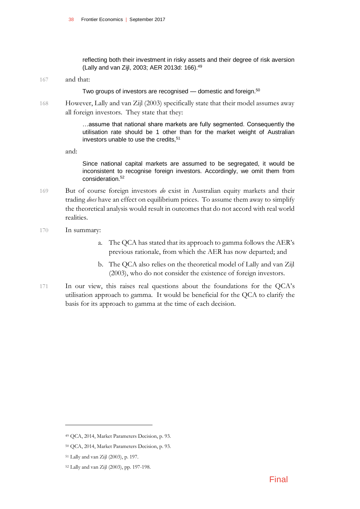reflecting both their investment in risky assets and their degree of risk aversion (Lally and van Zijl, 2003; AER 2013d: 166).<sup>49</sup>

#### 167 and that:

Two groups of investors are recognised — domestic and foreign.<sup>50</sup>

168 However, Lally and van Zijl (2003) specifically state that their model assumes away all foreign investors. They state that they:

> …assume that national share markets are fully segmented. Consequently the utilisation rate should be 1 other than for the market weight of Australian investors unable to use the credits.<sup>51</sup>

and:

Since national capital markets are assumed to be segregated, it would be inconsistent to recognise foreign investors. Accordingly, we omit them from consideration.<sup>52</sup>

169 But of course foreign investors *do* exist in Australian equity markets and their trading *does* have an effect on equilibrium prices. To assume them away to simplify the theoretical analysis would result in outcomes that do not accord with real world realities.

#### 170 In summary:

- a. The QCA has stated that its approach to gamma follows the AER's previous rationale, from which the AER has now departed; and
- b. The QCA also relies on the theoretical model of Lally and van Zijl (2003), who do not consider the existence of foreign investors.
- 171 In our view, this raises real questions about the foundations for the QCA's utilisation approach to gamma. It would be beneficial for the QCA to clarify the basis for its approach to gamma at the time of each decision.

<sup>49</sup> QCA, 2014, Market Parameters Decision, p. 93.

<sup>50</sup> QCA, 2014, Market Parameters Decision, p. 93.

<sup>51</sup> Lally and van Zijl (2003), p. 197.

<sup>52</sup> Lally and van Zijl (2003), pp. 197-198.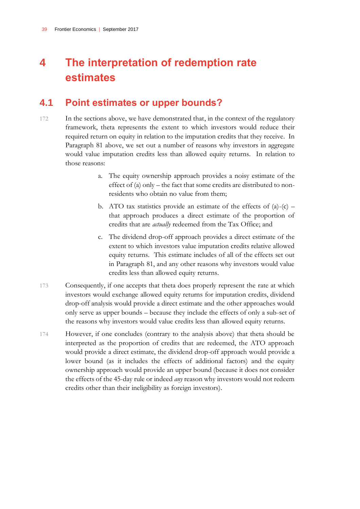# <span id="page-40-0"></span>**4 The interpretation of redemption rate estimates**

### <span id="page-40-1"></span>**4.1 Point estimates or upper bounds?**

- 172 In the sections above, we have demonstrated that, in the context of the regulatory framework, theta represents the extent to which investors would reduce their required return on equity in relation to the imputation credits that they receive. In Paragraph 81 above, we set out a number of reasons why investors in aggregate would value imputation credits less than allowed equity returns. In relation to those reasons:
	- a. The equity ownership approach provides a noisy estimate of the effect of (a) only – the fact that some credits are distributed to nonresidents who obtain no value from them;
	- b. ATO tax statistics provide an estimate of the effects of  $(a)-(c)$  that approach produces a direct estimate of the proportion of credits that are *actually* redeemed from the Tax Office; and
	- c. The dividend drop-off approach provides a direct estimate of the extent to which investors value imputation credits relative allowed equity returns. This estimate includes of all of the effects set out in Paragraph 81, and any other reasons why investors would value credits less than allowed equity returns.
- 173 Consequently, if one accepts that theta does properly represent the rate at which investors would exchange allowed equity returns for imputation credits, dividend drop-off analysis would provide a direct estimate and the other approaches would only serve as upper bounds – because they include the effects of only a sub-set of the reasons why investors would value credits less than allowed equity returns.
- 174 However, if one concludes (contrary to the analysis above) that theta should be interpreted as the proportion of credits that are redeemed, the ATO approach would provide a direct estimate, the dividend drop-off approach would provide a lower bound (as it includes the effects of additional factors) and the equity ownership approach would provide an upper bound (because it does not consider the effects of the 45-day rule or indeed *any* reason why investors would not redeem credits other than their ineligibility as foreign investors).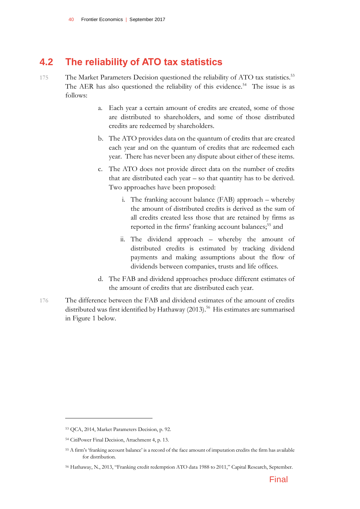### <span id="page-41-0"></span>**4.2 The reliability of ATO tax statistics**

- 175 The Market Parameters Decision questioned the reliability of ATO tax statistics.<sup>53</sup> The AER has also questioned the reliability of this evidence.<sup>54</sup> The issue is as follows:
	- a. Each year a certain amount of credits are created, some of those are distributed to shareholders, and some of those distributed credits are redeemed by shareholders.
	- b. The ATO provides data on the quantum of credits that are created each year and on the quantum of credits that are redeemed each year. There has never been any dispute about either of these items.
	- c. The ATO does not provide direct data on the number of credits that are distributed each year – so that quantity has to be derived. Two approaches have been proposed:
		- i. The franking account balance (FAB) approach whereby the amount of distributed credits is derived as the sum of all credits created less those that are retained by firms as reported in the firms' franking account balances;<sup>55</sup> and
		- ii. The dividend approach whereby the amount of distributed credits is estimated by tracking dividend payments and making assumptions about the flow of dividends between companies, trusts and life offices.
	- d. The FAB and dividend approaches produce different estimates of the amount of credits that are distributed each year.
- 176 The difference between the FAB and dividend estimates of the amount of credits distributed was first identified by Hathaway (2013).<sup>56</sup> His estimates are summarised in Figure 1 below.

<sup>53</sup> QCA, 2014, Market Parameters Decision, p. 92.

<sup>54</sup> CitiPower Final Decision, Attachment 4, p. 13.

<sup>55</sup> A firm's 'franking account balance' is a record of the face amount of imputation credits the firm has available for distribution.

<sup>56</sup> Hathaway, N., 2013, "Franking credit redemption ATO data 1988 to 2011," Capital Research, September.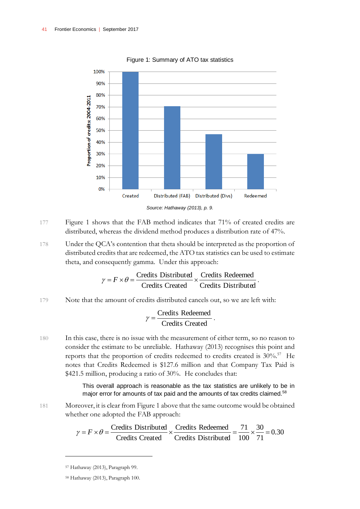

Figure 1: Summary of ATO tax statistics

- 177 Figure 1 shows that the FAB method indicates that 71% of created credits are distributed, whereas the dividend method produces a distribution rate of 47%.
- 178 Under the QCA's contention that theta should be interpreted as the proportion of distributed credits that are redeemed, the ATO tax statistics can be used to estimate theta, and consequently gamma. Under this approach:

$$
\gamma = F \times \theta = \frac{\text{Credits Distributed}}{\text{Credits Created}} \times \frac{\text{Credits Redeemed}}{\text{Credits Distributed}}.
$$

179 Note that the amount of credits distributed cancels out, so we are left with:

$$
\gamma = \frac{Credits \ Re deemed}{Credits \ Created}.
$$

180 In this case, there is no issue with the measurement of either term, so no reason to consider the estimate to be unreliable. Hathaway (2013) recognises this point and reports that the proportion of credits redeemed to credits created is 30%.<sup>57</sup> He notes that Credits Redeemed is \$127.6 million and that Company Tax Paid is \$421.5 million, producing a ratio of 30%. He concludes that:

> This overall approach is reasonable as the tax statistics are unlikely to be in major error for amounts of tax paid and the amounts of tax credits claimed.<sup>58</sup>

181 Moreover, it is clear from Figure 1 above that the same outcome would be obtained whether one adopted the FAB approach:

$$
\gamma = F \times \theta = \frac{\text{Credits Distributed}}{\text{Credits Created}} \times \frac{\text{Credits Redeemed}}{\text{Credits Distributed}} = \frac{71}{100} \times \frac{30}{71} = 0.30
$$

<sup>57</sup> Hathaway (2013), Paragraph 99.

<sup>58</sup> Hathaway (2013), Paragraph 100.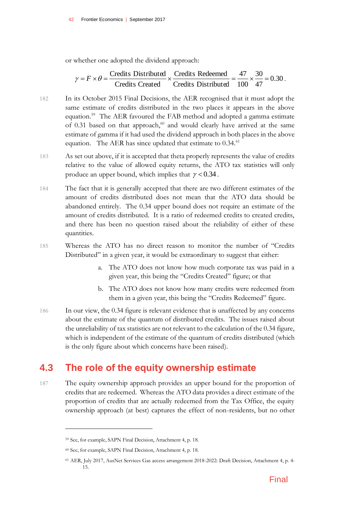or whether one adopted the dividend approach:

$$
\gamma = F \times \theta = \frac{\text{Credits Distributed}}{\text{Credits Created}} \times \frac{\text{Credits Redeemed}}{\text{Credits Distributed}} = \frac{47}{100} \times \frac{30}{47} = 0.30 \,.
$$

- 182 In its October 2015 Final Decisions, the AER recognised that it must adopt the same estimate of credits distributed in the two places it appears in the above equation.<sup>59</sup> The AER favoured the FAB method and adopted a gamma estimate of 0.31 based on that approach, $60$  and would clearly have arrived at the same estimate of gamma if it had used the dividend approach in both places in the above equation. The AER has since updated that estimate to  $0.34$ .<sup>61</sup>
- 183 As set out above, if it is accepted that theta properly represents the value of credits relative to the value of allowed equity returns, the ATO tax statistics will only produce an upper bound, which implies that  $\gamma$  < 0.34.
- 184 The fact that it is generally accepted that there are two different estimates of the amount of credits distributed does not mean that the ATO data should be abandoned entirely. The 0.34 upper bound does not require an estimate of the amount of credits distributed. It is a ratio of redeemed credits to created credits, and there has been no question raised about the reliability of either of these quantities.
- 185 Whereas the ATO has no direct reason to monitor the number of "Credits Distributed" in a given year, it would be extraordinary to suggest that either:
	- a. The ATO does not know how much corporate tax was paid in a given year, this being the "Credits Created" figure; or that
	- b. The ATO does not know how many credits were redeemed from them in a given year, this being the "Credits Redeemed" figure.
- 186 In our view, the 0.34 figure is relevant evidence that is unaffected by any concerns about the estimate of the quantum of distributed credits. The issues raised about the unreliability of tax statistics are not relevant to the calculation of the 0.34 figure, which is independent of the estimate of the quantum of credits distributed (which is the only figure about which concerns have been raised).

### <span id="page-43-0"></span>**4.3 The role of the equity ownership estimate**

187 The equity ownership approach provides an upper bound for the proportion of credits that are redeemed. Whereas the ATO data provides a direct estimate of the proportion of credits that are actually redeemed from the Tax Office, the equity ownership approach (at best) captures the effect of non-residents, but no other

<sup>59</sup> See, for example, SAPN Final Decision, Attachment 4, p. 18.

<sup>60</sup> See, for example, SAPN Final Decision, Attachment 4, p. 18.

<sup>61</sup> AER, July 2017, AusNet Services Gas access arrangement 2018-2022: Draft Decision, Attachment 4, p. 4- 15.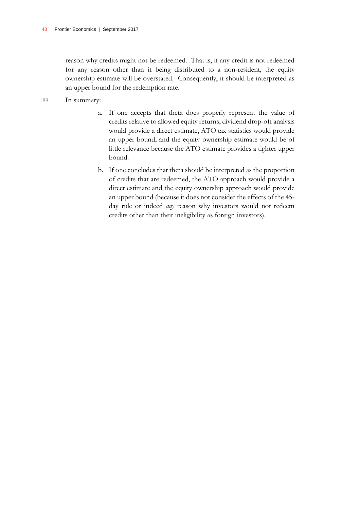reason why credits might not be redeemed. That is, if any credit is not redeemed for any reason other than it being distributed to a non-resident, the equity ownership estimate will be overstated. Consequently, it should be interpreted as an upper bound for the redemption rate.

- 188 In summary:
	- a. If one accepts that theta does properly represent the value of credits relative to allowed equity returns, dividend drop-off analysis would provide a direct estimate, ATO tax statistics would provide an upper bound, and the equity ownership estimate would be of little relevance because the ATO estimate provides a tighter upper bound.
	- b. If one concludes that theta should be interpreted as the proportion of credits that are redeemed, the ATO approach would provide a direct estimate and the equity ownership approach would provide an upper bound (because it does not consider the effects of the 45 day rule or indeed *any* reason why investors would not redeem credits other than their ineligibility as foreign investors).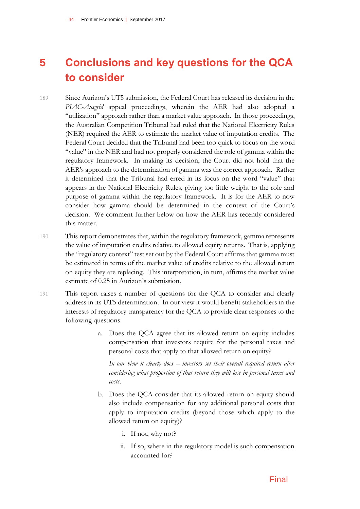# <span id="page-45-0"></span>**5 Conclusions and key questions for the QCA to consider**

- 189 Since Aurizon's UT5 submission, the Federal Court has released its decision in the *PIAC-Ausgrid* appeal proceedings, wherein the AER had also adopted a "utilization" approach rather than a market value approach. In those proceedings, the Australian Competition Tribunal had ruled that the National Electricity Rules (NER) required the AER to estimate the market value of imputation credits. The Federal Court decided that the Tribunal had been too quick to focus on the word "value" in the NER and had not properly considered the role of gamma within the regulatory framework. In making its decision, the Court did not hold that the AER's approach to the determination of gamma was the correct approach. Rather it determined that the Tribunal had erred in its focus on the word "value" that appears in the National Electricity Rules, giving too little weight to the role and purpose of gamma within the regulatory framework. It is for the AER to now consider how gamma should be determined in the context of the Court's decision. We comment further below on how the AER has recently considered this matter.
- 190 This report demonstrates that, within the regulatory framework, gamma represents the value of imputation credits relative to allowed equity returns. That is, applying the "regulatory context" test set out by the Federal Court affirms that gamma must be estimated in terms of the market value of credits relative to the allowed return on equity they are replacing. This interpretation, in turn, affirms the market value estimate of 0.25 in Aurizon's submission.
- 191 This report raises a number of questions for the QCA to consider and clearly address in its UT5 determination. In our view it would benefit stakeholders in the interests of regulatory transparency for the QCA to provide clear responses to the following questions:
	- a. Does the QCA agree that its allowed return on equity includes compensation that investors require for the personal taxes and personal costs that apply to that allowed return on equity?

*In our view it clearly does – investors set their overall required return after considering what proportion of that return they will lose in personal taxes and costs.*

- b. Does the QCA consider that its allowed return on equity should also include compensation for any additional personal costs that apply to imputation credits (beyond those which apply to the allowed return on equity)?
	- i. If not, why not?
	- ii. If so, where in the regulatory model is such compensation accounted for?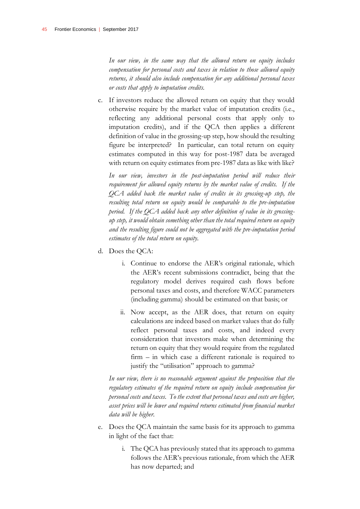In our view, in the same way that the allowed return on equity includes *compensation for personal costs and taxes in relation to those allowed equity returns, it should also include compensation for any additional personal taxes or costs that apply to imputation credits.*

c. If investors reduce the allowed return on equity that they would otherwise require by the market value of imputation credits (i.e., reflecting any additional personal costs that apply only to imputation credits), and if the QCA then applies a different definition of value in the grossing-up step, how should the resulting figure be interpreted? In particular, can total return on equity estimates computed in this way for post-1987 data be averaged with return on equity estimates from pre-1987 data as like with like?

*In our view, investors in the post-imputation period will reduce their requirement for allowed equity returns by the market value of credits. If the QCA added back the market value of credits in its grossing-up step, the resulting total return on equity would be comparable to the pre-imputation period. If the QCA added back any other definition of value in its grossingup step, it would obtain something other than the total required return on equity and the resulting figure could not be aggregated with the pre-imputation period estimates of the total return on equity.*

- d. Does the QCA:
	- i. Continue to endorse the AER's original rationale, which the AER's recent submissions contradict, being that the regulatory model derives required cash flows before personal taxes and costs, and therefore WACC parameters (including gamma) should be estimated on that basis; or
	- ii. Now accept, as the AER does, that return on equity calculations are indeed based on market values that do fully reflect personal taxes and costs, and indeed every consideration that investors make when determining the return on equity that they would require from the regulated firm – in which case a different rationale is required to justify the "utilisation" approach to gamma?

*In our view, there is no reasonable argument against the proposition that the regulatory estimates of the required return on equity include compensation for personal costs and taxes. To the extent that personal taxes and costs are higher, asset prices will be lower and required returns estimated from financial market data will be higher.*

- e. Does the QCA maintain the same basis for its approach to gamma in light of the fact that:
	- i. The QCA has previously stated that its approach to gamma follows the AER's previous rationale, from which the AER has now departed; and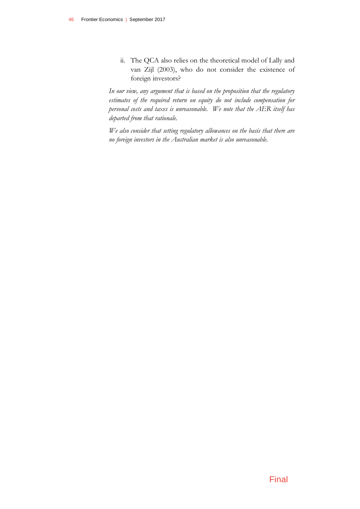ii. The QCA also relies on the theoretical model of Lally and van Zijl (2003), who do not consider the existence of foreign investors?

*In our view, any argument that is based on the proposition that the regulatory estimates of the required return on equity do not include compensation for personal costs and taxes is unreasonable. We note that the AER itself has departed from that rationale.*

*We also consider that setting regulatory allowances on the basis that there are no foreign investors in the Australian market is also unreasonable.*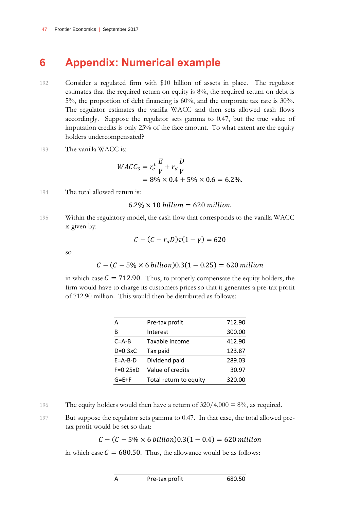# <span id="page-48-0"></span>**6 Appendix: Numerical example**

- 192 Consider a regulated firm with \$10 billion of assets in place. The regulator estimates that the required return on equity is 8%, the required return on debt is 5%, the proportion of debt financing is 60%, and the corporate tax rate is 30%. The regulator estimates the vanilla WACC and then sets allowed cash flows accordingly. Suppose the regulator sets gamma to 0.47, but the true value of imputation credits is only 25% of the face amount. To what extent are the equity holders undercompensated?
- 193 The vanilla WACC is:

$$
WACC_3 = r_e^L \frac{E}{V} + r_d \frac{D}{V}
$$
  
= 8% × 0.4 + 5% × 0.6 = 6.2%.

194 The total allowed return is:

 $6.2\% \times 10$  billion = 620 million.

195 Within the regulatory model, the cash flow that corresponds to the vanilla WACC is given by:

$$
\mathcal{C}-(\mathcal{C}-r_{d}D)\tau(1-\gamma)=620
$$

so

$$
C - (C - 5\% \times 6 \, billion)0.3(1 - 0.25) = 620 \, million
$$

in which case  $C = 712.90$ . Thus, to properly compensate the equity holders, the firm would have to charge its customers prices so that it generates a pre-tax profit of 712.90 million. This would then be distributed as follows:

| А               | Pre-tax profit         | 712.90 |
|-----------------|------------------------|--------|
| в               | Interest               | 300.00 |
| $C = A - B$     | Taxable income         | 412.90 |
| $D=0.3xC$       | Tax paid               | 123.87 |
| $E = A - B - D$ | Dividend paid          | 289.03 |
| $F=0.25xD$      | Value of credits       | 30.97  |
| $G = E + F$     | Total return to equity | 320.00 |
|                 |                        |        |

196 The equity holders would then have a return of  $320/4,000 = 8\%$ , as required.

197 But suppose the regulator sets gamma to 0.47. In that case, the total allowed pretax profit would be set so that:

 $C - (C - 5\% \times 6 \, billion)0.3(1 - 0.4) = 620 \, million$ 

in which case  $C = 680.50$ . Thus, the allowance would be as follows: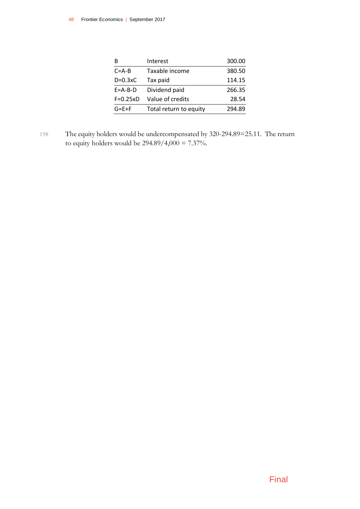| R               | Interest               | 300.00 |
|-----------------|------------------------|--------|
| $C = A - B$     | Taxable income         | 380.50 |
| $D=0.3xC$       | Tax paid               | 114.15 |
| $E = A - B - D$ | Dividend paid          | 266.35 |
| $F=0.25xD$      | Value of credits       | 28.54  |
| $G = E + F$     | Total return to equity | 294.89 |

198 The equity holders would be undercompensated by 320-294.89=25.11. The return to equity holders would be  $294.89/4,000 = 7.37\%.$